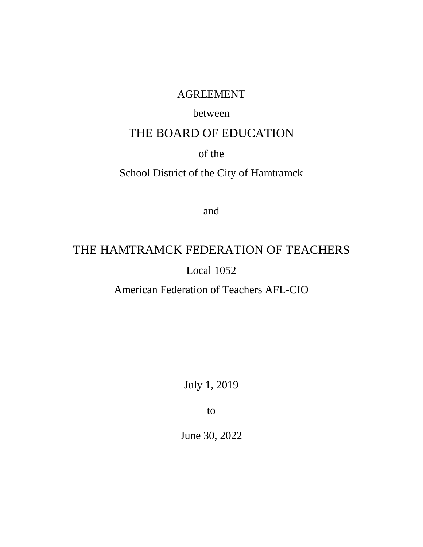# AGREEMENT

# between

# THE BOARD OF EDUCATION

# of the

# School District of the City of Hamtramck

and

# THE HAMTRAMCK FEDERATION OF TEACHERS Local 1052

American Federation of Teachers AFL-CIO

July 1, 2019

to

June 30, 2022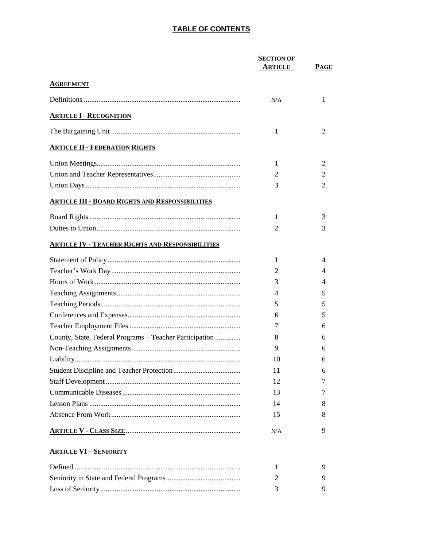|                                                         | <b>SECTION OF</b> |                |
|---------------------------------------------------------|-------------------|----------------|
|                                                         | <b>ARTICLE</b>    | <b>PAGE</b>    |
| <b>AGREEMENT</b>                                        |                   |                |
|                                                         | N/A               | 1              |
| <b>ARTICLE I - RECOGNITION</b>                          |                   |                |
|                                                         | 1                 | $\overline{2}$ |
| <b>ARTICLE II - FEDERATION RIGHTS</b>                   |                   |                |
|                                                         | 1                 | 2              |
|                                                         | 2                 | 2              |
|                                                         | 3                 | 2              |
| <b>ARTICLE III - BOARD RIGHTS AND RESPONSIBILITIES</b>  |                   |                |
|                                                         | 1                 | 3              |
|                                                         | 2                 | 3              |
| <b>ARTICLE IV - TEACHER RIGHTS AND RESPONSIBILITIES</b> |                   |                |
|                                                         | 1                 | 4              |
|                                                         | 2                 | 4              |
|                                                         | 3                 | 4              |
|                                                         | 4                 | 5              |
|                                                         | 5                 | 5              |
|                                                         | 6                 | 5              |
|                                                         | 7                 | 6              |
| County, State, Federal Programs – Teacher Participation | 8                 | 6              |
|                                                         | 9                 | 6              |
|                                                         | 10                | 6              |
|                                                         | 11                | 6              |
|                                                         | 12                | 7              |
|                                                         | 13                | 7              |
|                                                         | 14                | 8              |
|                                                         | 15                | 8              |
|                                                         | N/A               | 9              |

#### **ARTICLE VI - SENIORITY**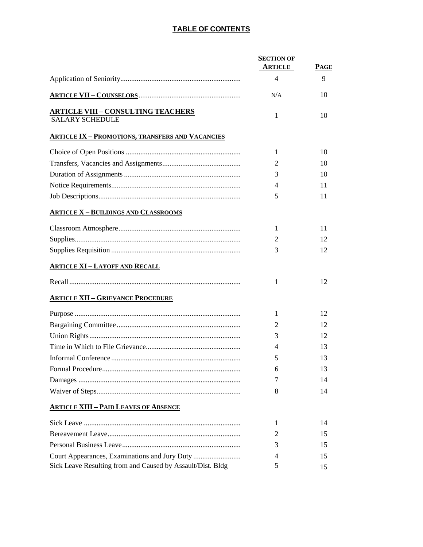|                                                                     | <b>SECTION OF</b><br><b>ARTICLE</b> | <b>PAGE</b> |
|---------------------------------------------------------------------|-------------------------------------|-------------|
|                                                                     | $\overline{4}$                      | 9           |
|                                                                     | N/A                                 | 10          |
| <b>ARTICLE VIII – CONSULTING TEACHERS</b><br><b>SALARY SCHEDULE</b> | 1                                   | 10          |
| <b>ARTICLE IX - PROMOTIONS, TRANSFERS AND VACANCIES</b>             |                                     |             |
|                                                                     | 1                                   | 10          |
|                                                                     | 2                                   | 10          |
|                                                                     | 3                                   | 10          |
|                                                                     | 4                                   | 11          |
|                                                                     | 5                                   | 11          |
| <b>ARTICLE X - BUILDINGS AND CLASSROOMS</b>                         |                                     |             |
|                                                                     | 1                                   | 11          |
|                                                                     | 2                                   | 12          |
|                                                                     | 3                                   | 12          |
| <b>ARTICLE XI - LAYOFF AND RECALL</b>                               |                                     |             |
|                                                                     | 1                                   | 12          |
| <b>ARTICLE XII - GRIEVANCE PROCEDURE</b>                            |                                     |             |
|                                                                     | 1                                   | 12          |
|                                                                     | 2                                   | 12          |
|                                                                     | 3                                   | 12          |
|                                                                     | 4                                   | 13          |
|                                                                     | 5                                   | 13          |
|                                                                     | 6                                   | 13          |
|                                                                     | 7                                   | 14          |
|                                                                     | 8                                   | 14          |
| <b>ARTICLE XIII - PAID LEAVES OF ABSENCE</b>                        |                                     |             |
|                                                                     | 1                                   | 14          |
|                                                                     | 2                                   | 15          |
|                                                                     | 3                                   | 15          |
| Court Appearances, Examinations and Jury Duty                       | 4                                   | 15          |
| Sick Leave Resulting from and Caused by Assault/Dist. Bldg          | 5                                   | 15          |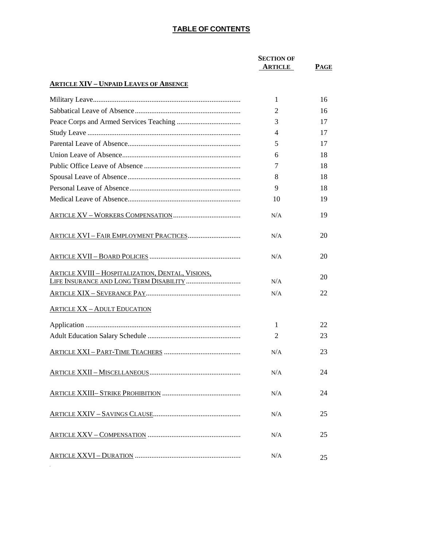|                                                          | <b>SECTION OF</b> |      |
|----------------------------------------------------------|-------------------|------|
|                                                          | <b>ARTICLE</b>    | PAGE |
| <b>ARTICLE XIV - UNPAID LEAVES OF ABSENCE</b>            |                   |      |
|                                                          | 1                 | 16   |
|                                                          | 2                 | 16   |
|                                                          | 3                 | 17   |
|                                                          | 4                 | 17   |
|                                                          | 5                 | 17   |
|                                                          | 6                 | 18   |
|                                                          | 7                 | 18   |
|                                                          | 8                 | 18   |
|                                                          | 9                 | 18   |
|                                                          | 10                | 19   |
|                                                          | N/A               | 19   |
| ARTICLE XVI - FAIR EMPLOYMENT PRACTICES                  | N/A               | 20   |
|                                                          | N/A               | 20   |
| <b>ARTICLE XVIII - HOSPITALIZATION, DENTAL, VISIONS,</b> | N/A               | 20   |
|                                                          | N/A               | 22   |
|                                                          |                   |      |
| <b>ARTICLE XX - ADULT EDUCATION</b>                      |                   |      |
|                                                          | 1                 | 22   |
|                                                          | 2                 | 23   |
|                                                          | N/A               | 23   |
|                                                          | N/A               | 24   |
|                                                          | N/A               | 24   |
|                                                          | N/A               | 25   |
|                                                          | N/A               | 25   |
|                                                          | N/A               | 25   |
|                                                          |                   |      |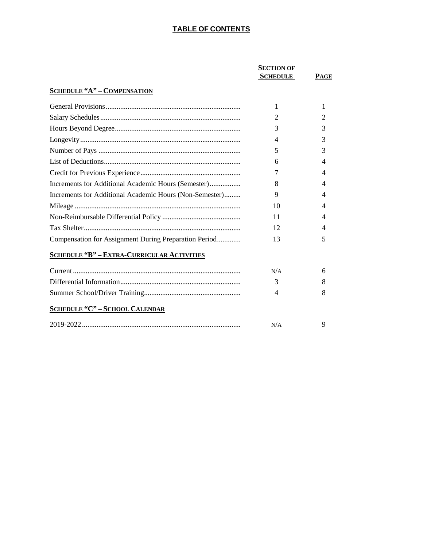|                                                         | <b>SECTION OF</b><br><b>SCHEDULE</b> | <b>PAGE</b> |
|---------------------------------------------------------|--------------------------------------|-------------|
| <b>SCHEDULE "A" - COMPENSATION</b>                      |                                      |             |
|                                                         | 1                                    | 1           |
|                                                         | $\overline{2}$                       | 2           |
|                                                         | 3                                    | 3           |
|                                                         | $\overline{4}$                       | 3           |
|                                                         | 5                                    | 3           |
|                                                         | 6                                    | 4           |
|                                                         | 7                                    | 4           |
| Increments for Additional Academic Hours (Semester)     | 8                                    | 4           |
| Increments for Additional Academic Hours (Non-Semester) | 9                                    | 4           |
|                                                         | 10                                   | 4           |
|                                                         | 11                                   | 4           |
|                                                         | 12                                   | 4           |
| Compensation for Assignment During Preparation Period   | 13                                   | 5           |
| <b>SCHEDULE "B" - EXTRA-CURRICULAR ACTIVITIES</b>       |                                      |             |
|                                                         | N/A                                  | 6           |
|                                                         | 3                                    | 8           |
|                                                         | 4                                    | 8           |
| <b>SCHEDULE "C" - SCHOOL CALENDAR</b>                   |                                      |             |
|                                                         | N/A                                  | 9           |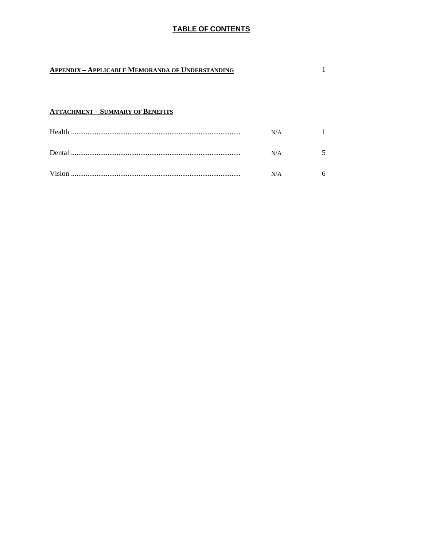$\mathbf{1}$ 

### **APPENDIX - APPLICABLE MEMORANDA OF UNDERSTANDING**

#### **ATTACHMENT - SUMMARY OF BENEFITS**

|         | N/A |  |
|---------|-----|--|
| Dental. | N/A |  |
|         | N/A |  |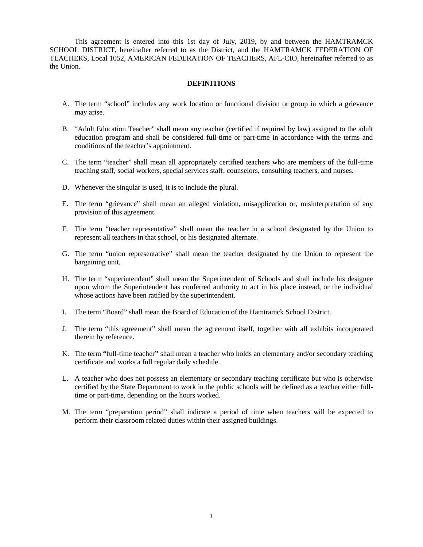This agreement is entered into this 1st day of July, 2019, by and between the HAMTRAMCK SCHOOL DISTRICT, hereinafter referred to as the District, and the HAMTRAMCK FEDERATION OF TEACHERS, Local 1052, AMERICAN FEDERATION OF TEACHERS, AFL-CIO, hereinafter referred to as the Union.

#### **DEFINITIONS**

- A. The term "school" includes any work location or functional division or group in which a grievance may arise.
- B. "Adult Education Teacher" shall mean any teacher (certified if required by law) assigned to the adult education program and shall be considered full-time or part-time in accordance with the terms and conditions of the teacher's appointment.
- C. The term "teacher" shall mean all appropriately certified teachers who are members of the full-time teaching staff, social workers, special services staff, counselors, consulting teacher**s**, and nurses.
- D. Whenever the singular is used, it is to include the plural.
- E. The term "grievance" shall mean an alleged violation, misapplication or, misinterpretation of any provision of this agreement.
- F. The term "teacher representative" shall mean the teacher in a school designated by the Union to represent all teachers in that school, or his designated alternate.
- G. The term "union representative" shall mean the teacher designated by the Union to represent the bargaining unit.
- H. The term "superintendent" shall mean the Superintendent of Schools and shall include his designee upon whom the Superintendent has conferred authority to act in his place instead, or the individual whose actions have been ratified by the superintendent.
- I. The term "Board" shall mean the Board of Education of the Hamtramck School District.
- J. The term "this agreement" shall mean the agreement itself, together with all exhibits incorporated therein by reference.
- K. The term **"**full-time teacher**"** shall mean a teacher who holds an elementary and/or secondary teaching certificate and works a full regular daily schedule.
- L. A teacher who does not possess an elementary or secondary teaching certificate but who is otherwise certified by the State Department to work in the public schools will be defined as a teacher either fulltime or part-time, depending on the hours worked.
- M. The term "preparation period" shall indicate a period of time when teachers will be expected to perform their classroom related duties within their assigned buildings.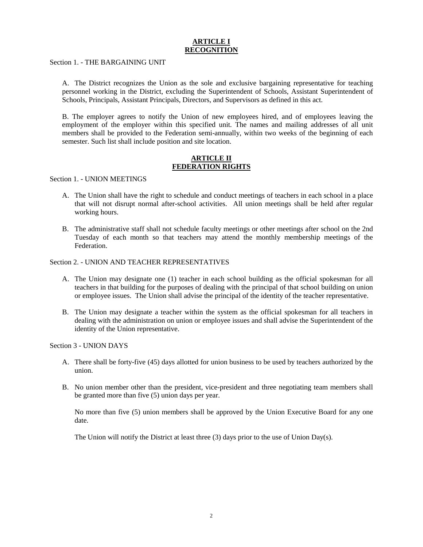#### **ARTICLE I RECOGNIT**

Section 1. - THE BARGAINING UNIT

A. The District recognizes the Union as the sole and exclusive bargaining representative for teaching personnel working in the District, excluding the Superintendent of Schools, Assistant Superintendent of Schools, Principals, Assistant Principals, Directors, and Supervisors as defined in this act.

B. The employer agrees to notify the Union of new employees hired, and of employees leaving the employment of the employer within this specified unit. The names and mailing addresses of all unit members shall be provided to the Federation semi-annually, within two weeks of the beginning of each semester. Such list shall include position and site location.

#### **ARTICLE II FEDERATION RIGHTS**

Section 1. - UNION MEETINGS

- A. The Union shall have the right to schedule and conduct meetings of teachers in each school in a place that will not disrupt normal after-school activities. All union meetings shall be held after regular working hours.
- B. The administrative staff shall not schedule faculty meetings or other meetings after school on the 2nd Tuesday of each month so that teachers may attend the monthly membership meetings of the Federation.

#### Section 2. - UNION AND TEACHER REPRESENTATIVES

- A. The Union may designate one (1) teacher in each school building as the official spokesman for all teachers in that building for the purposes of dealing with the principal of that school building on union or employee issues. The Union shall advise the principal of the identity of the teacher representative.
- B. The Union may designate a teacher within the system as the official spokesman for all teachers in dealing with the administration on union or employee issues and shall advise the Superintendent of the identity of the Union representative.

Section 3 - UNION DAYS

- A. There shall be forty-five (45) days allotted for union business to be used by teachers authorized by the union.
- B. No union member other than the president, vice-president and three negotiating team members shall be granted more than five (5) union days per year.

No more than five (5) union members shall be approved by the Union Executive Board for any one date.

The Union will notify the District at least three (3) days prior to the use of Union Day(s).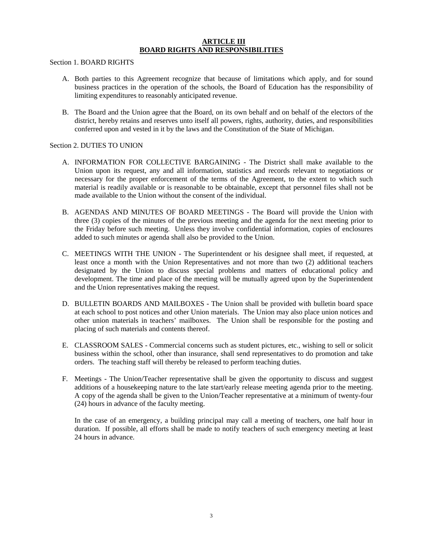#### **ARTICLE III BOARD RIGHTS AND RESPONSIBILITIES**

Section 1. BOARD RIGHTS

- A. Both parties to this Agreement recognize that because of limitations which apply, and for sound business practices in the operation of the schools, the Board of Education has the responsibility of limiting expenditures to reasonably anticipated revenue.
- B. The Board and the Union agree that the Board, on its own behalf and on behalf of the electors of the district, hereby retains and reserves unto itself all powers, rights, authority, duties, and responsibilities conferred upon and vested in it by the laws and the Constitution of the State of Michigan.

#### Section 2. DUTIES TO UNION

- A. INFORMATION FOR COLLECTIVE BARGAINING The District shall make available to the Union upon its request, any and all information, statistics and records relevant to negotiations or necessary for the proper enforcement of the terms of the Agreement, to the extent to which such material is readily available or is reasonable to be obtainable, except that personnel files shall not be made available to the Union without the consent of the individual.
- B. AGENDAS AND MINUTES OF BOARD MEETINGS The Board will provide the Union with three (3) copies of the minutes of the previous meeting and the agenda for the next meeting prior to the Friday before such meeting. Unless they involve confidential information, copies of enclosures added to such minutes or agenda shall also be provided to the Union.
- C. MEETINGS WITH THE UNION The Superintendent or his designee shall meet, if requested, at least once a month with the Union Representatives and not more than two (2) additional teachers designated by the Union to discuss special problems and matters of educational policy and development. The time and place of the meeting will be mutually agreed upon by the Superintendent and the Union representatives making the request.
- D. BULLETIN BOARDS AND MAILBOXES The Union shall be provided with bulletin board space at each school to post notices and other Union materials. The Union may also place union notices and other union materials in teachers' mailboxes. The Union shall be responsible for the posting and placing of such materials and contents thereof.
- E. CLASSROOM SALES Commercial concerns such as student pictures, etc., wishing to sell or solicit business within the school, other than insurance, shall send representatives to do promotion and take orders. The teaching staff will thereby be released to perform teaching duties.
- F. Meetings The Union/Teacher representative shall be given the opportunity to discuss and suggest additions of a housekeeping nature to the late start/early release meeting agenda prior to the meeting. A copy of the agenda shall be given to the Union/Teacher representative at a minimum of twenty-four (24) hours in advance of the faculty meeting.

In the case of an emergency, a building principal may call a meeting of teachers, one half hour in duration. If possible, all efforts shall be made to notify teachers of such emergency meeting at least 24 hours in advance.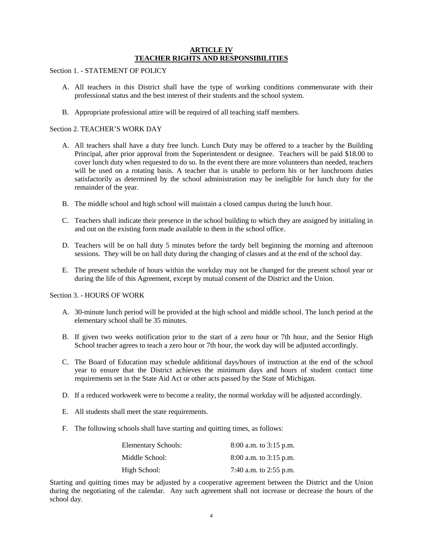#### **ARTICLE IV TEACHER RIGHTS AND RESPONSIBILITIES**

Section 1. - STATEMENT OF POLICY

- A. All teachers in this District shall have the type of working conditions commensurate with their professional status and the best interest of their students and the school system.
- B. Appropriate professional attire will be required of all teaching staff members.

#### Section 2. TEACHER'S WORK DAY

- A. All teachers shall have a duty free lunch. Lunch Duty may be offered to a teacher by the Building Principal, after prior approval from the Superintendent or designee. Teachers will be paid \$18.00 to cover lunch duty when requested to do so. In the event there are more volunteers than needed, teachers will be used on a rotating basis. A teacher that is unable to perform his or her lunchroom duties satisfactorily as determined by the school administration may be ineligible for lunch duty for the remainder of the year.
- B. The middle school and high school will maintain a closed campus during the lunch hour.
- C. Teachers shall indicate their presence in the school building to which they are assigned by initialing in and out on the existing form made available to them in the school office.
- D. Teachers will be on hall duty 5 minutes before the tardy bell beginning the morning and afternoon sessions. They will be on hall duty during the changing of classes and at the end of the school day.
- E. The present schedule of hours within the workday may not be changed for the present school year or during the life of this Agreement, except by mutual consent of the District and the Union.

Section 3. - HOURS OF WORK

- A. 30-minute lunch period will be provided at the high school and middle school. The lunch period at the elementary school shall be 35 minutes.
- B. If given two weeks notification prior to the start of a zero hour or 7th hour, and the Senior High School teacher agrees to teach a zero hour or 7th hour, the work day will be adjusted accordingly.
- C. The Board of Education may schedule additional days/hours of instruction at the end of the school year to ensure that the District achieves the minimum days and hours of student contact time requirements set in the State Aid Act or other acts passed by the State of Michigan.
- D. If a reduced workweek were to become a reality, the normal workday will be adjusted accordingly.
- E. All students shall meet the state requirements.
- F. The following schools shall have starting and quitting times, as follows:

| <b>Elementary Schools:</b> | 8:00 a.m. to 3:15 p.m.     |
|----------------------------|----------------------------|
| Middle School:             | $8:00$ a.m. to $3:15$ p.m. |
| High School:               | 7:40 a.m. to 2:55 p.m.     |

Starting and quitting times may be adjusted by a cooperative agreement between the District and the Union during the negotiating of the calendar. Any such agreement shall not increase or decrease the hours of the school day.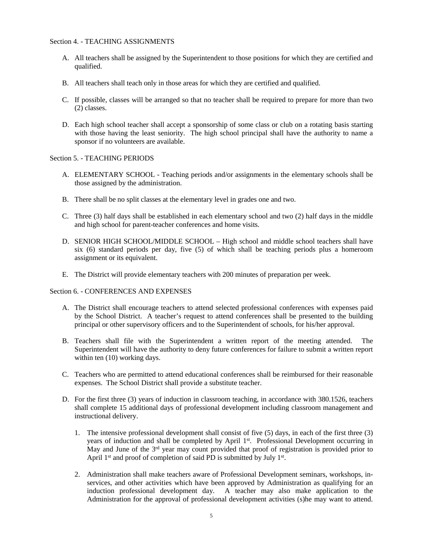#### Section 4. - TEACHING ASSIGNMENTS

- A. All teachers shall be assigned by the Superintendent to those positions for which they are certified and qualified.
- B. All teachers shall teach only in those areas for which they are certified and qualified.
- C. If possible, classes will be arranged so that no teacher shall be required to prepare for more than two (2) classes.
- D. Each high school teacher shall accept a sponsorship of some class or club on a rotating basis starting with those having the least seniority. The high school principal shall have the authority to name a sponsor if no volunteers are available.

#### Section 5. - TEACHING PERIODS

- A. ELEMENTARY SCHOOL Teaching periods and/or assignments in the elementary schools shall be those assigned by the administration.
- B. There shall be no split classes at the elementary level in grades one and two.
- C. Three (3) half days shall be established in each elementary school and two (2) half days in the middle and high school for parent-teacher conferences and home visits.
- D. SENIOR HIGH SCHOOL/MIDDLE SCHOOL High school and middle school teachers shall have six (6) standard periods per day, five (5) of which shall be teaching periods plus a homeroom assignment or its equivalent.
- E. The District will provide elementary teachers with 200 minutes of preparation per week.

#### Section 6. - CONFERENCES AND EXPENSES

- A. The District shall encourage teachers to attend selected professional conferences with expenses paid by the School District. A teacher's request to attend conferences shall be presented to the building principal or other supervisory officers and to the Superintendent of schools, for his/her approval.
- B. Teachers shall file with the Superintendent a written report of the meeting attended. The Superintendent will have the authority to deny future conferences for failure to submit a written report within ten (10) working days.
- C. Teachers who are permitted to attend educational conferences shall be reimbursed for their reasonable expenses. The School District shall provide a substitute teacher.
- D. For the first three (3) years of induction in classroom teaching, in accordance with 380.1526, teachers shall complete 15 additional days of professional development including classroom management and instructional delivery.
	- 1. The intensive professional development shall consist of five (5) days, in each of the first three (3) years of induction and shall be completed by April 1<sup>st</sup>. Professional Development occurring in May and June of the 3<sup>rd</sup> year may count provided that proof of registration is provided prior to April  $1<sup>st</sup>$  and proof of completion of said PD is submitted by July  $1<sup>st</sup>$ .
	- 2. Administration shall make teachers aware of Professional Development seminars, workshops, inservices, and other activities which have been approved by Administration as qualifying for an induction professional development day. A teacher may also make application to the Administration for the approval of professional development activities (s)he may want to attend.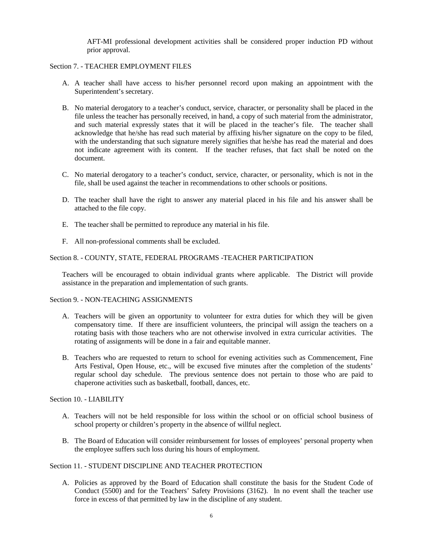AFT-MI professional development activities shall be considered proper induction PD without prior approval.

#### Section 7. - TEACHER EMPLOYMENT FILES

- A. A teacher shall have access to his/her personnel record upon making an appointment with the Superintendent's secretary.
- B. No material derogatory to a teacher's conduct, service, character, or personality shall be placed in the file unless the teacher has personally received, in hand, a copy of such material from the administrator, and such material expressly states that it will be placed in the teacher's file. The teacher shall acknowledge that he/she has read such material by affixing his/her signature on the copy to be filed, with the understanding that such signature merely signifies that he/she has read the material and does not indicate agreement with its content. If the teacher refuses, that fact shall be noted on the document.
- C. No material derogatory to a teacher's conduct, service, character, or personality, which is not in the file, shall be used against the teacher in recommendations to other schools or positions.
- D. The teacher shall have the right to answer any material placed in his file and his answer shall be attached to the file copy.
- E. The teacher shall be permitted to reproduce any material in his file.
- F. All non-professional comments shall be excluded.

#### Section 8. - COUNTY, STATE, FEDERAL PROGRAMS -TEACHER PARTICIPATION

Teachers will be encouraged to obtain individual grants where applicable. The District will provide assistance in the preparation and implementation of such grants.

#### Section 9. - NON-TEACHING ASSIGNMENTS

- A. Teachers will be given an opportunity to volunteer for extra duties for which they will be given compensatory time. If there are insufficient volunteers, the principal will assign the teachers on a rotating basis with those teachers who are not otherwise involved in extra curricular activities. The rotating of assignments will be done in a fair and equitable manner.
- B. Teachers who are requested to return to school for evening activities such as Commencement, Fine Arts Festival, Open House, etc., will be excused five minutes after the completion of the students' regular school day schedule. The previous sentence does not pertain to those who are paid to chaperone activities such as basketball, football, dances, etc.

#### Section 10. - LIABILITY

- A. Teachers will not be held responsible for loss within the school or on official school business of school property or children's property in the absence of willful neglect.
- B. The Board of Education will consider reimbursement for losses of employees' personal property when the employee suffers such loss during his hours of employment.

#### Section 11 - STUDENT DISCIPLINE AND TEACHER PROTECTION

A. Policies as approved by the Board of Education shall constitute the basis for the Student Code of Conduct (5500) and for the Teachers' Safety Provisions (3162). In no event shall the teacher use force in excess of that permitted by law in the discipline of any student.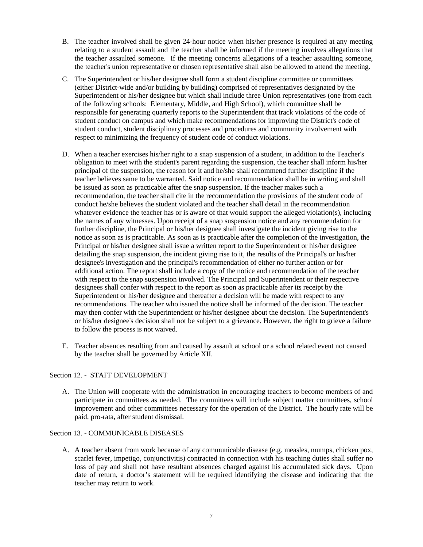- B. The teacher involved shall be given 24-hour notice when his/her presence is required at any meeting relating to a student assault and the teacher shall be informed if the meeting involves allegations that the teacher assaulted someone. If the meeting concerns allegations of a teacher assaulting someone, the teacher's union representative or chosen representative shall also be allowed to attend the meeting.
- C. The Superintendent or his/her designee shall form a student discipline committee or committees (either District-wide and/or building by building) comprised of representatives designated by the Superintendent or his/her designee but which shall include three Union representatives (one from each of the following schools: Elementary, Middle, and High School), which committee shall be responsible for generating quarterly reports to the Superintendent that track violations of the code of student conduct on campus and which make recommendations for improving the District's code of student conduct, student disciplinary processes and procedures and community involvement with respect to minimizing the frequency of student code of conduct violations.
- D. When a teacher exercises his/her right to a snap suspension of a student, in addition to the Teacher's obligation to meet with the student's parent regarding the suspension, the teacher shall inform his/her principal of the suspension, the reason for it and he/she shall recommend further discipline if the teacher believes same to be warranted. Said notice and recommendation shall be in writing and shall be issued as soon as practicable after the snap suspension. If the teacher makes such a recommendation, the teacher shall cite in the recommendation the provisions of the student code of conduct he/she believes the student violated and the teacher shall detail in the recommendation whatever evidence the teacher has or is aware of that would support the alleged violation(s), including the names of any witnesses. Upon receipt of a snap suspension notice and any recommendation for further discipline, the Principal or his/her designee shall investigate the incident giving rise to the notice as soon as is practicable. As soon as is practicable after the completion of the investigation, the Principal or his/her designee shall issue a written report to the Superintendent or his/her designee detailing the snap suspension, the incident giving rise to it, the results of the Principal's or his/her designee's investigation and the principal's recommendation of either no further action or for additional action. The report shall include a copy of the notice and recommendation of the teacher with respect to the snap suspension involved. The Principal and Superintendent or their respective designees shall confer with respect to the report as soon as practicable after its receipt by the Superintendent or his/her designee and thereafter a decision will be made with respect to any recommendations. The teacher who issued the notice shall be informed of the decision. The teacher may then confer with the Superintendent or his/her designee about the decision. The Superintendent's or his/her designee's decision shall not be subject to a grievance. However, the right to grieve a failure to follow the process is not waived.
- E. Teacher absences resulting from and caused by assault at school or a school related event not caused by the teacher shall be governed by Article XII.

#### Section 12. - STAFF DEVELOPMENT

A. The Union will cooperate with the administration in encouraging teachers to become members of and participate in committees as needed. The committees will include subject matter committees, school improvement and other committees necessary for the operation of the District. The hourly rate will be paid, pro-rata, after student dismissal.

#### Section 13. - COMMUNICABLE DISEASES

A. A teacher absent from work because of any communicable disease (e.g. measles, mumps, chicken pox, scarlet fever, impetigo, conjunctivitis) contracted in connection with his teaching duties shall suffer no loss of pay and shall not have resultant absences charged against his accumulated sick days. Upon date of return, a doctor's statement will be required identifying the disease and indicating that the teacher may return to work.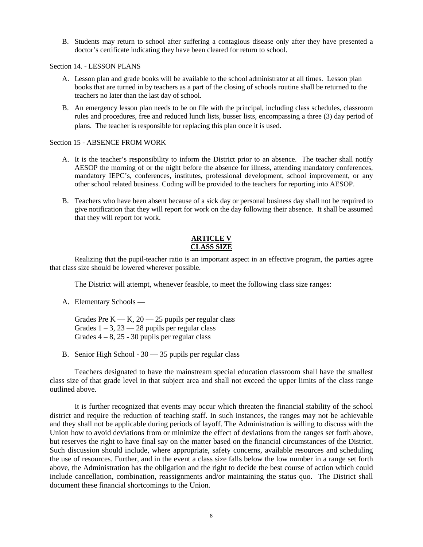B. Students may return to school after suffering a contagious disease only after they have presented a doctor's certificate indicating they have been cleared for return to school.

Section 14. - LESSON PLANS

- A. Lesson plan and grade books will be available to the school administrator at all times. Lesson plan books that are turned in by teachers as a part of the closing of schools routine shall be returned to the teachers no later than the last day of school.
- B. An emergency lesson plan needs to be on file with the principal, including class schedules, classroom rules and procedures, free and reduced lunch lists, busser lists, encompassing a three (3) day period of plans. The teacher is responsible for replacing this plan once it is used.

#### Section 15 - ABSENCE FROM WORK

- A. It is the teacher's responsibility to inform the District prior to an absence. The teacher shall notify AESOP the morning of or the night before the absence for illness, attending mandatory conferences, mandatory IEPC's, conferences, institutes, professional development, school improvement, or any other school related business. Coding will be provided to the teachers for reporting into AESOP.
- B. Teachers who have been absent because of a sick day or personal business day shall not be required to give notification that they will report for work on the day following their absence. It shall be assumed that they will report for work.

#### **ARTICLE V CLASS SIZE**

Realizing that the pupil-teacher ratio is an important aspect in an effective program, the parties agree that class size should be lowered wherever possible.

The District will attempt, whenever feasible, to meet the following class size ranges:

- A. Elementary Schools
	- Grades Pre  $K = K$ , 20  $-$  25 pupils per regular class Grades  $1 - 3$ ,  $23 - 28$  pupils per regular class Grades  $4 - 8$ , 25 - 30 pupils per regular class
- B. Senior High School 30 35 pupils per regular class

Teachers designated to have the mainstream special education classroom shall have the smallest class size of that grade level in that subject area and shall not exceed the upper limits of the class range outlined above.

It is further recognized that events may occur which threaten the financial stability of the school district and require the reduction of teaching staff. In such instances, the ranges may not be achievable and they shall not be applicable during periods of layoff. The Administration is willing to discuss with the Union how to avoid deviations from or minimize the effect of deviations from the ranges set forth above, but reserves the right to have final say on the matter based on the financial circumstances of the District. Such discussion should include, where appropriate, safety concerns, available resources and scheduling the use of resources. Further, and in the event a class size falls below the low number in a range set forth above, the Administration has the obligation and the right to decide the best course of action which could include cancellation, combination, reassignments and/or maintaining the status quo. The District shall document these financial shortcomings to the Union.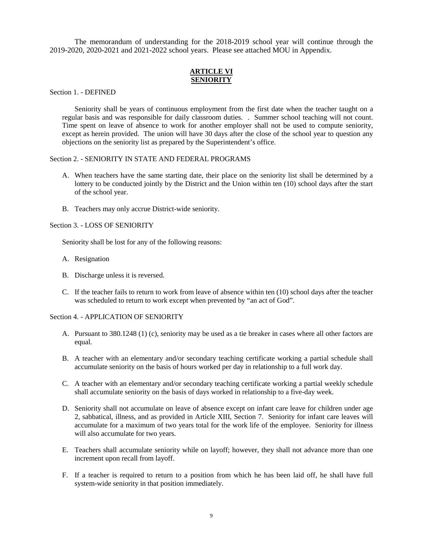The memorandum of understanding for the 2018-2019 school year will continue through the 2019-2020, 2020-2021 and 2021-2022 school years. Please see attached MOU in Appendix.

#### **ARTICLE VI SENIORITY**

Section 1. - DEFINED

Seniority shall be years of continuous employment from the first date when the teacher taught on a regular basis and was responsible for daily classroom duties. . Summer school teaching will not count. Time spent on leave of absence to work for another employer shall not be used to compute seniority, except as herein provided. The union will have 30 days after the close of the school year to question any objections on the seniority list as prepared by the Superintendent's office.

#### Section 2. - SENIORITY IN STATE AND FEDERAL PROGRAMS

- A. When teachers have the same starting date, their place on the seniority list shall be determined by a lottery to be conducted jointly by the District and the Union within ten (10) school days after the start of the school year.
- B. Teachers may only accrue District-wide seniority.

Section 3. - LOSS OF SENIORITY

Seniority shall be lost for any of the following reasons:

- A. Resignation
- B. Discharge unless it is reversed.
- C. If the teacher fails to return to work from leave of absence within ten (10) school days after the teacher was scheduled to return to work except when prevented by "an act of God".

#### Section 4. - APPLICATION OF SENIORITY

- A. Pursuant to 380.1248 (1) (c), seniority may be used as a tie breaker in cases where all other factors are equal.
- B. A teacher with an elementary and/or secondary teaching certificate working a partial schedule shall accumulate seniority on the basis of hours worked per day in relationship to a full work day.
- C. A teacher with an elementary and/or secondary teaching certificate working a partial weekly schedule shall accumulate seniority on the basis of days worked in relationship to a five-day week.
- D. Seniority shall not accumulate on leave of absence except on infant care leave for children under age 2, sabbatical, illness, and as provided in Article XIII, Section 7. Seniority for infant care leaves will accumulate for a maximum of two years total for the work life of the employee. Seniority for illness will also accumulate for two years.
- E. Teachers shall accumulate seniority while on layoff; however, they shall not advance more than one increment upon recall from layoff.
- F. If a teacher is required to return to a position from which he has been laid off, he shall have full system-wide seniority in that position immediately.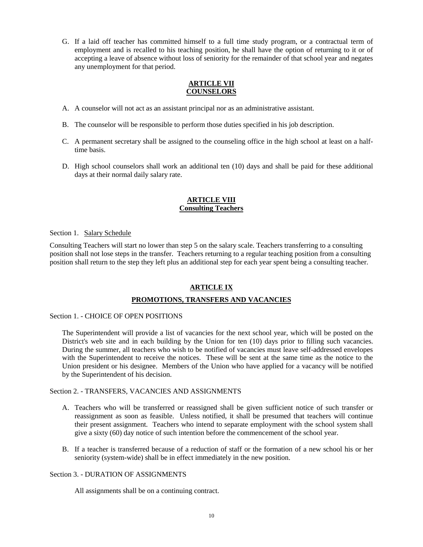G. If a laid off teacher has committed himself to a full time study program, or a contractual term of employment and is recalled to his teaching position, he shall have the option of returning to it or of accepting a leave of absence without loss of seniority for the remainder of that school year and negates any unemployment for that period.

#### **ARTICLE VII COUNSELORS**

- A. A counselor will not act as an assistant principal nor as an administrative assistant.
- B. The counselor will be responsible to perform those duties specified in his job description.
- C. A permanent secretary shall be assigned to the counseling office in the high school at least on a halftime basis.
- D. High school counselors shall work an additional ten (10) days and shall be paid for these additional days at their normal daily salary rate.

#### **ARTICLE VIII Consulting Teachers**

Section 1. Salary Schedule

Consulting Teachers will start no lower than step 5 on the salary scale. Teachers transferring to a consulting position shall not lose steps in the transfer. Teachers returning to a regular teaching position from a consulting position shall return to the step they left plus an additional step for each year spent being a consulting teacher.

#### **ARTICLE IX**

#### **PROMOTIONS, TRANSFERS AND VACANCIES**

Section 1. - CHOICE OF OPEN POSITIONS

The Superintendent will provide a list of vacancies for the next school year, which will be posted on the District's web site and in each building by the Union for ten (10) days prior to filling such vacancies. During the summer, all teachers who wish to be notified of vacancies must leave self-addressed envelopes with the Superintendent to receive the notices. These will be sent at the same time as the notice to the Union president or his designee. Members of the Union who have applied for a vacancy will be notified by the Superintendent of his decision.

#### Section 2. - TRANSFERS, VACANCIES AND ASSIGNMENTS

- A. Teachers who will be transferred or reassigned shall be given sufficient notice of such transfer or reassignment as soon as feasible. Unless notified, it shall be presumed that teachers will continue their present assignment. Teachers who intend to separate employment with the school system shall give a sixty (60) day notice of such intention before the commencement of the school year.
- B. If a teacher is transferred because of a reduction of staff or the formation of a new school his or her seniority (system-wide) shall be in effect immediately in the new position.

#### Section 3. - DURATION OF ASSIGNMENTS

All assignments shall be on a continuing contract.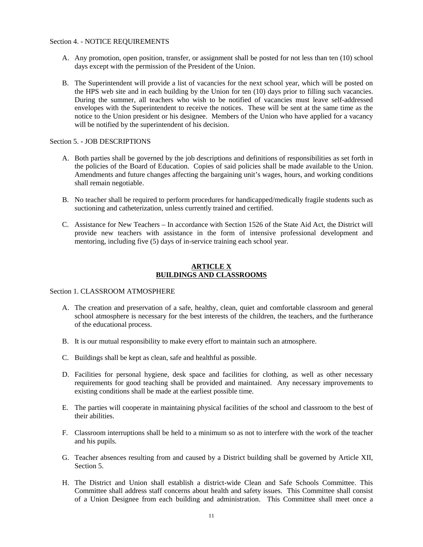- A. Any promotion, open position, transfer, or assignment shall be posted for not less than ten (10) school days except with the permission of the President of the Union.
- B. The Superintendent will provide a list of vacancies for the next school year, which will be posted on the HPS web site and in each building by the Union for ten (10) days prior to filling such vacancies. During the summer, all teachers who wish to be notified of vacancies must leave self-addressed envelopes with the Superintendent to receive the notices. These will be sent at the same time as the notice to the Union president or his designee. Members of the Union who have applied for a vacancy will be notified by the superintendent of his decision.

#### Section 5. - JOB DESCRIPTIONS

- A. Both parties shall be governed by the job descriptions and definitions of responsibilities as set forth in the policies of the Board of Education. Copies of said policies shall be made available to the Union. Amendments and future changes affecting the bargaining unit's wages, hours, and working conditions shall remain negotiable.
- B. No teacher shall be required to perform procedures for handicapped/medically fragile students such as suctioning and catheterization, unless currently trained and certified.
- C. Assistance for New Teachers In accordance with Section 1526 of the State Aid Act, the District will provide new teachers with assistance in the form of intensive professional development and mentoring, including five (5) days of in-service training each school year.

#### **ARTICLE X BUILDINGS AND CLASSROOMS**

#### Section 1. CLASSROOM ATMOSPHERE

- A. The creation and preservation of a safe, healthy, clean, quiet and comfortable classroom and general school atmosphere is necessary for the best interests of the children, the teachers, and the furtherance of the educational process.
- B. It is our mutual responsibility to make every effort to maintain such an atmosphere.
- C. Buildings shall be kept as clean, safe and healthful as possible.
- D. Facilities for personal hygiene, desk space and facilities for clothing, as well as other necessary requirements for good teaching shall be provided and maintained. Any necessary improvements to existing conditions shall be made at the earliest possible time.
- E. The parties will cooperate in maintaining physical facilities of the school and classroom to the best of their abilities.
- F. Classroom interruptions shall be held to a minimum so as not to interfere with the work of the teacher and his pupils.
- G. Teacher absences resulting from and caused by a District building shall be governed by Article XII, Section 5.
- H. The District and Union shall establish a district-wide Clean and Safe Schools Committee. This Committee shall address staff concerns about health and safety issues. This Committee shall consist of a Union Designee from each building and administration. This Committee shall meet once a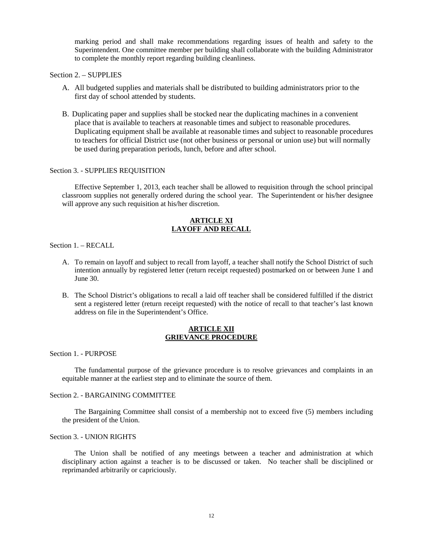marking period and shall make recommendations regarding issues of health and safety to the Superintendent. One committee member per building shall collaborate with the building Administrator to complete the monthly report regarding building cleanliness.

#### Section 2. – SUPPLIES

- A. All budgeted supplies and materials shall be distributed to building administrators prior to the first day of school attended by students.
- B. Duplicating paper and supplies shall be stocked near the duplicating machines in a convenient place that is available to teachers at reasonable times and subject to reasonable procedures. Duplicating equipment shall be available at reasonable times and subject to reasonable procedures to teachers for official District use (not other business or personal or union use) but will normally be used during preparation periods, lunch, before and after school.

#### Section 3. - SUPPLIES REQUISITION

Effective September 1, 2013, each teacher shall be allowed to requisition through the school principal classroom supplies not generally ordered during the school year. The Superintendent or his/her designee will approve any such requisition at his/her discretion.

#### **ARTICLE XI LAYOFF AND RECALL**

#### Section 1. – RECALL

- A. To remain on layoff and subject to recall from layoff, a teacher shall notify the School District of such intention annually by registered letter (return receipt requested) postmarked on or between June 1 and June 30.
- B. The School District's obligations to recall a laid off teacher shall be considered fulfilled if the district sent a registered letter (return receipt requested) with the notice of recall to that teacher's last known address on file in the Superintendent's Office.

#### **ARTICLE XII GRIEVANCE PROCEDURE**

Section 1. - PURPOSE

The fundamental purpose of the grievance procedure is to resolve grievances and complaints in an equitable manner at the earliest step and to eliminate the source of them.

#### Section 2. - BARGAINING COMMITTEE

The Bargaining Committee shall consist of a membership not to exceed five (5) members including the president of the Union.

#### Section 3. - UNION RIGHTS

The Union shall be notified of any meetings between a teacher and administration at which disciplinary action against a teacher is to be discussed or taken. No teacher shall be disciplined or reprimanded arbitrarily or capriciously.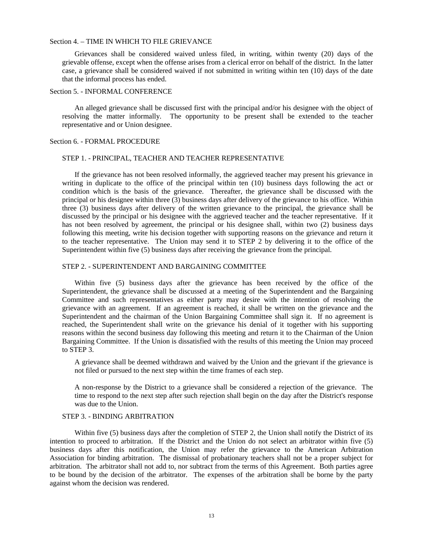#### Section 4. – TIME IN WHICH TO FILE GRIEVANCE

Grievances shall be considered waived unless filed, in writing, within twenty (20) days of the grievable offense, except when the offense arises from a clerical error on behalf of the district. In the latter case, a grievance shall be considered waived if not submitted in writing within ten (10) days of the date that the informal process has ended.

#### Section 5. - INFORMAL CONFERENCE

An alleged grievance shall be discussed first with the principal and/or his designee with the object of resolving the matter informally. The opportunity to be present shall be extended to the teacher representative and or Union designee.

#### Section 6. - FORMAL PROCEDURE

#### STEP 1. - PRINCIPAL, TEACHER AND TEACHER REPRESENTATIVE

If the grievance has not been resolved informally, the aggrieved teacher may present his grievance in writing in duplicate to the office of the principal within ten (10) business days following the act or condition which is the basis of the grievance. Thereafter, the grievance shall be discussed with the principal or his designee within three (3) business days after delivery of the grievance to his office. Within three (3) business days after delivery of the written grievance to the principal, the grievance shall be discussed by the principal or his designee with the aggrieved teacher and the teacher representative. If it has not been resolved by agreement, the principal or his designee shall, within two (2) business days following this meeting, write his decision together with supporting reasons on the grievance and return it to the teacher representative. The Union may send it to STEP 2 by delivering it to the office of the Superintendent within five (5) business days after receiving the grievance from the principal.

#### STEP 2. - SUPERINTENDENT AND BARGAINING COMMITTEE

Within five (5) business days after the grievance has been received by the office of the Superintendent, the grievance shall be discussed at a meeting of the Superintendent and the Bargaining Committee and such representatives as either party may desire with the intention of resolving the grievance with an agreement. If an agreement is reached, it shall be written on the grievance and the Superintendent and the chairman of the Union Bargaining Committee shall sign it. If no agreement is reached, the Superintendent shall write on the grievance his denial of it together with his supporting reasons within the second business day following this meeting and return it to the Chairman of the Union Bargaining Committee. If the Union is dissatisfied with the results of this meeting the Union may proceed to STEP 3.

A grievance shall be deemed withdrawn and waived by the Union and the grievant if the grievance is not filed or pursued to the next step within the time frames of each step.

A non-response by the District to a grievance shall be considered a rejection of the grievance. The time to respond to the next step after such rejection shall begin on the day after the District's response was due to the Union.

#### STEP 3. - BINDING ARBITRATION

Within five (5) business days after the completion of STEP 2, the Union shall notify the District of its intention to proceed to arbitration. If the District and the Union do not select an arbitrator within five (5) business days after this notification, the Union may refer the grievance to the American Arbitration Association for binding arbitration. The dismissal of probationary teachers shall not be a proper subject for arbitration. The arbitrator shall not add to, nor subtract from the terms of this Agreement. Both parties agree to be bound by the decision of the arbitrator. The expenses of the arbitration shall be borne by the party against whom the decision was rendered.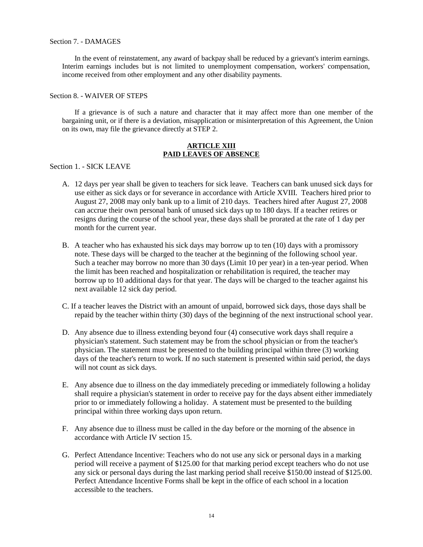#### Section 7. - DAMAGES

In the event of reinstatement, any award of backpay shall be reduced by a grievant's interim earnings. Interim earnings includes but is not limited to unemployment compensation, workers' compensation, income received from other employment and any other disability payments.

#### Section 8. - WAIVER OF STEPS

If a grievance is of such a nature and character that it may affect more than one member of the bargaining unit, or if there is a deviation, misapplication or misinterpretation of this Agreement, the Union on its own, may file the grievance directly at STEP 2.

#### **ARTICLE XIII PAID LEAVES OF ABSENCE**

Section 1. - SICK LEAVE

- A. 12 days per year shall be given to teachers for sick leave. Teachers can bank unused sick days for use either as sick days or for severance in accordance with Article XVIII. Teachers hired prior to August 27, 2008 may only bank up to a limit of 210 days. Teachers hired after August 27, 2008 can accrue their own personal bank of unused sick days up to 180 days. If a teacher retires or resigns during the course of the school year, these days shall be prorated at the rate of 1 day per month for the current year.
- B. A teacher who has exhausted his sick days may borrow up to ten (10) days with a promissory note. These days will be charged to the teacher at the beginning of the following school year. Such a teacher may borrow no more than 30 days (Limit 10 per year) in a ten-year period. When the limit has been reached and hospitalization or rehabilitation is required, the teacher may borrow up to 10 additional days for that year. The days will be charged to the teacher against his next available 12 sick day period.
- C. If a teacher leaves the District with an amount of unpaid, borrowed sick days, those days shall be repaid by the teacher within thirty (30) days of the beginning of the next instructional school year.
- D. Any absence due to illness extending beyond four (4) consecutive work days shall require a physician's statement. Such statement may be from the school physician or from the teacher's physician. The statement must be presented to the building principal within three (3) working days of the teacher's return to work. If no such statement is presented within said period, the days will not count as sick days.
- E. Any absence due to illness on the day immediately preceding or immediately following a holiday shall require a physician's statement in order to receive pay for the days absent either immediately prior to or immediately following a holiday. A statement must be presented to the building principal within three working days upon return.
- F. Any absence due to illness must be called in the day before or the morning of the absence in accordance with Article IV section 15.
- G. Perfect Attendance Incentive: Teachers who do not use any sick or personal days in a marking period will receive a payment of \$125.00 for that marking period except teachers who do not use any sick or personal days during the last marking period shall receive \$150.00 instead of \$125.00. Perfect Attendance Incentive Forms shall be kept in the office of each school in a location accessible to the teachers.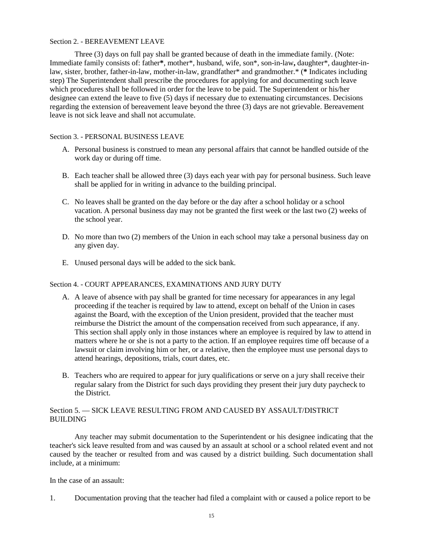#### Section 2. - BEREAVEMENT LEAVE

Three (3) days on full pay shall be granted because of death in the immediate family. (Note: Immediate family consists of: father**\***, mother\*, husband, wife, son\*, son-in-law**,** daughter\*, daughter-inlaw, sister, brother, father-in-law, mother-in-law, grandfather\* and grandmother.\* (**\*** Indicates including step) The Superintendent shall prescribe the procedures for applying for and documenting such leave which procedures shall be followed in order for the leave to be paid. The Superintendent or his/her designee can extend the leave to five (5) days if necessary due to extenuating circumstances. Decisions regarding the extension of bereavement leave beyond the three (3) days are not grievable. Bereavement leave is not sick leave and shall not accumulate.

#### Section 3. - PERSONAL BUSINESS LEAVE

- A. Personal business is construed to mean any personal affairs that cannot be handled outside of the work day or during off time.
- B. Each teacher shall be allowed three (3) days each year with pay for personal business. Such leave shall be applied for in writing in advance to the building principal.
- C. No leaves shall be granted on the day before or the day after a school holiday or a school vacation. A personal business day may not be granted the first week or the last two (2) weeks of the school year.
- D. No more than two (2) members of the Union in each school may take a personal business day on any given day.
- E. Unused personal days will be added to the sick bank.

#### Section 4. - COURT APPEARANCES, EXAMINATIONS AND JURY DUTY

- A. A leave of absence with pay shall be granted for time necessary for appearances in any legal proceeding if the teacher is required by law to attend, except on behalf of the Union in cases against the Board, with the exception of the Union president, provided that the teacher must reimburse the District the amount of the compensation received from such appearance, if any. This section shall apply only in those instances where an employee is required by law to attend in matters where he or she is not a party to the action. If an employee requires time off because of a lawsuit or claim involving him or her, or a relative, then the employee must use personal days to attend hearings, depositions, trials, court dates, etc.
- B. Teachers who are required to appear for jury qualifications or serve on a jury shall receive their regular salary from the District for such days providing they present their jury duty paycheck to the District.

#### Section 5. — SICK LEAVE RESULTING FROM AND CAUSED BY ASSAULT/DISTRICT BUILDING

Any teacher may submit documentation to the Superintendent or his designee indicating that the teacher's sick leave resulted from and was caused by an assault at school or a school related event and not caused by the teacher or resulted from and was caused by a district building. Such documentation shall include, at a minimum:

In the case of an assault:

1. Documentation proving that the teacher had filed a complaint with or caused a police report to be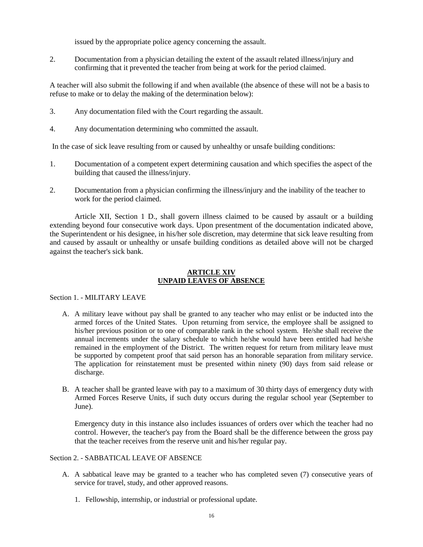issued by the appropriate police agency concerning the assault.

2. Documentation from a physician detailing the extent of the assault related illness/injury and confirming that it prevented the teacher from being at work for the period claimed.

A teacher will also submit the following if and when available (the absence of these will not be a basis to refuse to make or to delay the making of the determination below):

- 3. Any documentation filed with the Court regarding the assault.
- 4. Any documentation determining who committed the assault.

In the case of sick leave resulting from or caused by unhealthy or unsafe building conditions:

- 1. Documentation of a competent expert determining causation and which specifies the aspect of the building that caused the illness/injury.
- 2. Documentation from a physician confirming the illness/injury and the inability of the teacher to work for the period claimed.

Article XII, Section 1 D., shall govern illness claimed to be caused by assault or a building extending beyond four consecutive work days. Upon presentment of the documentation indicated above, the Superintendent or his designee, in his/her sole discretion, may determine that sick leave resulting from and caused by assault or unhealthy or unsafe building conditions as detailed above will not be charged against the teacher's sick bank.

#### **ARTICLE XIV UNPAID LEAVES OF ABSENCE**

#### Section 1. - MILITARY LEAVE

- A. A military leave without pay shall be granted to any teacher who may enlist or be inducted into the armed forces of the United States. Upon returning from service, the employee shall be assigned to his/her previous position or to one of comparable rank in the school system. He/she shall receive the annual increments under the salary schedule to which he/she would have been entitled had he/she remained in the employment of the District. The written request for return from military leave must be supported by competent proof that said person has an honorable separation from military service. The application for reinstatement must be presented within ninety (90) days from said release or discharge.
- B. A teacher shall be granted leave with pay to a maximum of 30 thirty days of emergency duty with Armed Forces Reserve Units, if such duty occurs during the regular school year (September to June).

Emergency duty in this instance also includes issuances of orders over which the teacher had no control. However, the teacher's pay from the Board shall be the difference between the gross pay that the teacher receives from the reserve unit and his/her regular pay.

#### Section 2. - SABBATICAL LEAVE OF ABSENCE

- A. A sabbatical leave may be granted to a teacher who has completed seven (7) consecutive years of service for travel, study, and other approved reasons.
	- 1. Fellowship, internship, or industrial or professional update.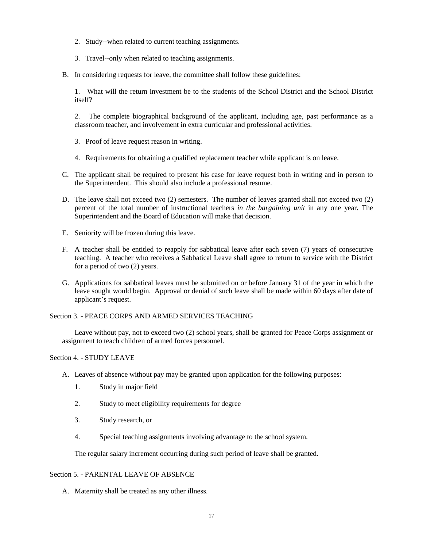- 2. Study--when related to current teaching assignments.
- 3. Travel--only when related to teaching assignments.
- B. In considering requests for leave, the committee shall follow these guidelines:

1. What will the return investment be to the students of the School District and the School District itself?

2. The complete biographical background of the applicant, including age, past performance as a classroom teacher, and involvement in extra curricular and professional activities.

- 3. Proof of leave request reason in writing.
- 4. Requirements for obtaining a qualified replacement teacher while applicant is on leave.
- C. The applicant shall be required to present his case for leave request both in writing and in person to the Superintendent. This should also include a professional resume.
- D. The leave shall not exceed two (2) semesters. The number of leaves granted shall not exceed two (2) percent of the total number of instructional teachers *in the bargaining unit* in any one year. The Superintendent and the Board of Education will make that decision.
- E. Seniority will be frozen during this leave.
- F. A teacher shall be entitled to reapply for sabbatical leave after each seven (7) years of consecutive teaching. A teacher who receives a Sabbatical Leave shall agree to return to service with the District for a period of two (2) years.
- G. Applications for sabbatical leaves must be submitted on or before January 31 of the year in which the leave sought would begin. Approval or denial of such leave shall be made within 60 days after date of applicant's request.

Section 3. - PEACE CORPS AND ARMED SERVICES TEACHING

Leave without pay, not to exceed two (2) school years, shall be granted for Peace Corps assignment or assignment to teach children of armed forces personnel.

Section 4. - STUDY LEAVE

- A. Leaves of absence without pay may be granted upon application for the following purposes:
	- 1. Study in major field
	- 2. Study to meet eligibility requirements for degree
	- 3. Study research, or
	- 4. Special teaching assignments involving advantage to the school system.

The regular salary increment occurring during such period of leave shall be granted.

#### Section 5. - PARENTAL LEAVE OF ABSENCE

A. Maternity shall be treated as any other illness.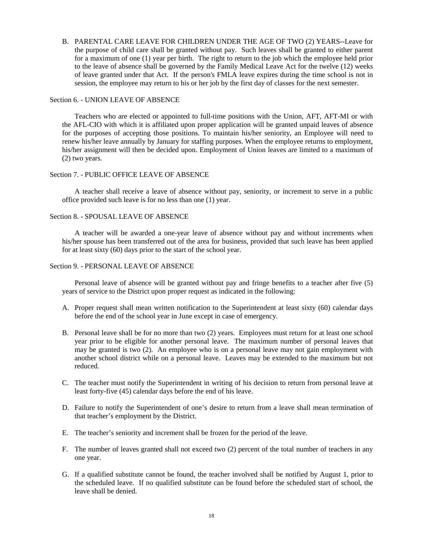B. PARENTAL CARE LEAVE FOR CHILDREN UNDER THE AGE OF TWO (2) YEARS--Leave for the purpose of child care shall be granted without pay. Such leaves shall be granted to either parent for a maximum of one (1) year per birth. The right to return to the job which the employee held prior to the leave of absence shall be governed by the Family Medical Leave Act for the twelve (12) weeks of leave granted under that Act. If the person's FMLA leave expires during the time school is not in session, the employee may return to his or her job by the first day of classes for the next semester.

#### Section 6. - UNION LEAVE OF ABSENCE

Teachers who are elected or appointed to full-time positions with the Union, AFT, AFT-MI or with the AFL-CIO with which it is affiliated upon proper application will be granted unpaid leaves of absence for the purposes of accepting those positions. To maintain his/her seniority, an Employee will need to renew his/her leave annually by January for staffing purposes. When the employee returns to employment, his/her assignment will then be decided upon. Employment of Union leaves are limited to a maximum of (2) two years.

#### Section 7. - PUBLIC OFFICE LEAVE OF ABSENCE

A teacher shall receive a leave of absence without pay, seniority, or increment to serve in a public office provided such leave is for no less than one (1) year.

#### Section 8. - SPOUSAL LEAVE OF ABSENCE

A teacher will be awarded a one-year leave of absence without pay and without increments when his/her spouse has been transferred out of the area for business, provided that such leave has been applied for at least sixty (60) days prior to the start of the school year.

#### Section 9. - PERSONAL LEAVE OF ABSENCE

Personal leave of absence will be granted without pay and fringe benefits to a teacher after five (5) years of service to the District upon proper request as indicated in the following:

- A. Proper request shall mean written notification to the Superintendent at least sixty (60) calendar days before the end of the school year in June except in case of emergency.
- B. Personal leave shall be for no more than two (2) years. Employees must return for at least one school year prior to be eligible for another personal leave. The maximum number of personal leaves that may be granted is two (2). An employee who is on a personal leave may not gain employment with another school district while on a personal leave. Leaves may be extended to the maximum but not reduced.
- C. The teacher must notify the Superintendent in writing of his decision to return from personal leave at least forty-five (45) calendar days before the end of his leave.
- D. Failure to notify the Superintendent of one's desire to return from a leave shall mean termination of that teacher's employment by the District.
- E. The teacher's seniority and increment shall be frozen for the period of the leave.
- F. The number of leaves granted shall not exceed two (2) percent of the total number of teachers in any one year.
- G. If a qualified substitute cannot be found, the teacher involved shall be notified by August 1, prior to the scheduled leave. If no qualified substitute can be found before the scheduled start of school, the leave shall be denied.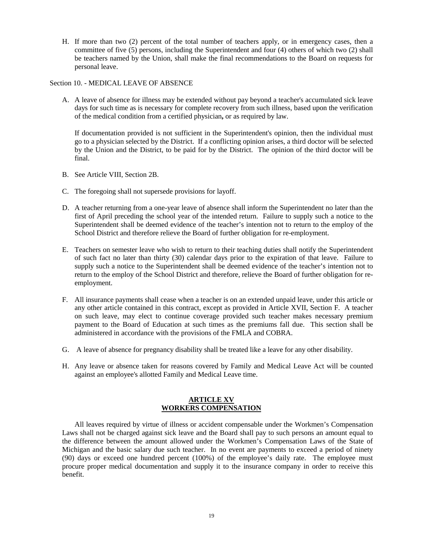H. If more than two (2) percent of the total number of teachers apply, or in emergency cases, then a committee of five (5) persons, including the Superintendent and four (4) others of which two (2) shall be teachers named by the Union, shall make the final recommendations to the Board on requests for personal leave.

#### Section 10. - MEDICAL LEAVE OF ABSENCE

A. A leave of absence for illness may be extended without pay beyond a teacher's accumulated sick leave days for such time as is necessary for complete recovery from such illness, based upon the verification of the medical condition from a certified physician**,** or as required by law.

If documentation provided is not sufficient in the Superintendent's opinion, then the individual must go to a physician selected by the District. If a conflicting opinion arises, a third doctor will be selected by the Union and the District, to be paid for by the District. The opinion of the third doctor will be final.

- B. See Article VIII, Section 2B.
- C. The foregoing shall not supersede provisions for layoff.
- D. A teacher returning from a one-year leave of absence shall inform the Superintendent no later than the first of April preceding the school year of the intended return. Failure to supply such a notice to the Superintendent shall be deemed evidence of the teacher's intention not to return to the employ of the School District and therefore relieve the Board of further obligation for re-employment.
- E. Teachers on semester leave who wish to return to their teaching duties shall notify the Superintendent of such fact no later than thirty (30) calendar days prior to the expiration of that leave. Failure to supply such a notice to the Superintendent shall be deemed evidence of the teacher's intention not to return to the employ of the School District and therefore, relieve the Board of further obligation for reemployment.
- F. All insurance payments shall cease when a teacher is on an extended unpaid leave, under this article or any other article contained in this contract, except as provided in Article XVII, Section F. A teacher on such leave, may elect to continue coverage provided such teacher makes necessary premium payment to the Board of Education at such times as the premiums fall due. This section shall be administered in accordance with the provisions of the FMLA and COBRA.
- G. A leave of absence for pregnancy disability shall be treated like a leave for any other disability.
- H. Any leave or absence taken for reasons covered by Family and Medical Leave Act will be counted against an employee's allotted Family and Medical Leave time.

#### **ARTICLE XV WORKERS COMPENSATION**

All leaves required by virtue of illness or accident compensable under the Workmen's Compensation Laws shall not be charged against sick leave and the Board shall pay to such persons an amount equal to the difference between the amount allowed under the Workmen's Compensation Laws of the State of Michigan and the basic salary due such teacher. In no event are payments to exceed a period of ninety (90) days or exceed one hundred percent (100%) of the employee's daily rate. The employee must procure proper medical documentation and supply it to the insurance company in order to receive this benefit.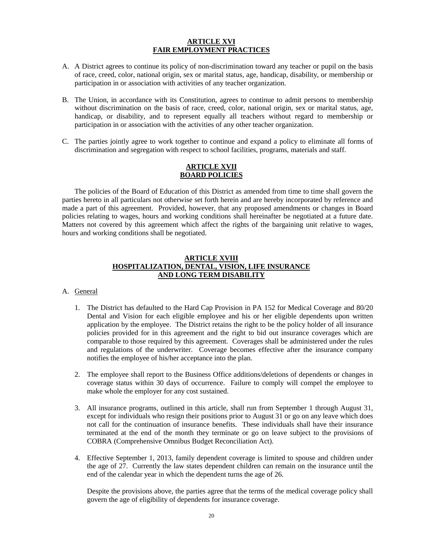#### **ARTICLE XVI FAIR EMPLOYMENT PRACTICES**

- A. A District agrees to continue its policy of non-discrimination toward any teacher or pupil on the basis of race, creed, color, national origin, sex or marital status, age, handicap, disability, or membership or participation in or association with activities of any teacher organization.
- B. The Union, in accordance with its Constitution, agrees to continue to admit persons to membership without discrimination on the basis of race, creed, color, national origin, sex or marital status, age, handicap, or disability, and to represent equally all teachers without regard to membership or participation in or association with the activities of any other teacher organization.
- C. The parties jointly agree to work together to continue and expand a policy to eliminate all forms of discrimination and segregation with respect to school facilities, programs, materials and staff.

#### **ARTICLE XVII BOARD POLICIES**

The policies of the Board of Education of this District as amended from time to time shall govern the parties hereto in all particulars not otherwise set forth herein and are hereby incorporated by reference and made a part of this agreement. Provided, however, that any proposed amendments or changes in Board policies relating to wages, hours and working conditions shall hereinafter be negotiated at a future date. Matters not covered by this agreement which affect the rights of the bargaining unit relative to wages, hours and working conditions shall be negotiated.

#### **ARTICLE XVIII HOSPITALIZATION, DENTAL, VISION, LIFE INSURANCE AND LONG TERM DISABILITY**

#### A. General

- 1. The District has defaulted to the Hard Cap Provision in PA 152 for Medical Coverage and 80/20 Dental and Vision for each eligible employee and his or her eligible dependents upon written application by the employee. The District retains the right to be the policy holder of all insurance policies provided for in this agreement and the right to bid out insurance coverages which are comparable to those required by this agreement. Coverages shall be administered under the rules and regulations of the underwriter. Coverage becomes effective after the insurance company notifies the employee of his/her acceptance into the plan.
- 2. The employee shall report to the Business Office additions/deletions of dependents or changes in coverage status within 30 days of occurrence. Failure to comply will compel the employee to make whole the employer for any cost sustained.
- 3. All insurance programs, outlined in this article, shall run from September 1 through August 31, except for individuals who resign their positions prior to August 31 or go on any leave which does not call for the continuation of insurance benefits. These individuals shall have their insurance terminated at the end of the month they terminate or go on leave subject to the provisions of COBRA (Comprehensive Omnibus Budget Reconciliation Act).
- 4. Effective September 1, 2013, family dependent coverage is limited to spouse and children under the age of 27. Currently the law states dependent children can remain on the insurance until the end of the calendar year in which the dependent turns the age of 26.

Despite the provisions above, the parties agree that the terms of the medical coverage policy shall govern the age of eligibility of dependents for insurance coverage.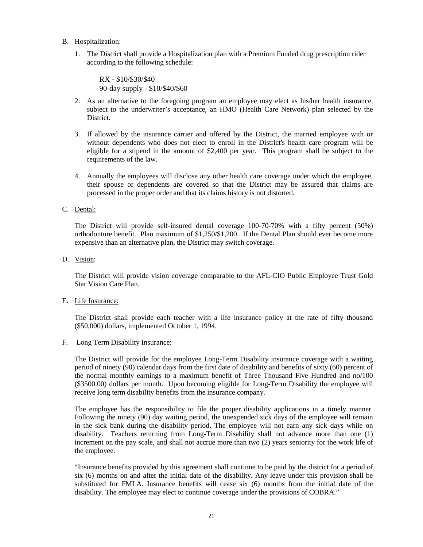- B. Hospitalization:
	- 1. The District shall provide a Hospitalization plan with a Premium Funded drug prescription rider according to the following schedule:

RX - \$10/\$30/\$40 90-day supply - \$10/\$40/\$60

- 2. As an alternative to the foregoing program an employee may elect as his/her health insurance, subject to the underwriter's acceptance, an HMO (Health Care Network) plan selected by the District.
- 3. If allowed by the insurance carrier and offered by the District, the married employee with or without dependents who does not elect to enroll in the District's health care program will be eligible for a stipend in the amount of \$2,400 per year. This program shall be subject to the requirements of the law.
- 4. Annually the employees will disclose any other health care coverage under which the employee, their spouse or dependents are covered so that the District may be assured that claims are processed in the proper order and that its claims history is not distorted.
- C. Dental:

The District will provide self-insured dental coverage 100-70-70% with a fifty percent (50%) orthodonture benefit. Plan maximum of \$1,250/\$1,200. If the Dental Plan should ever become more expensive than an alternative plan, the District may switch coverage.

D. Vision:

The District will provide vision coverage comparable to the AFL-CIO Public Employee Trust Gold Star Vision Care Plan.

E. Life Insurance:

The District shall provide each teacher with a life insurance policy at the rate of fifty thousand (\$50,000) dollars, implemented October 1, 1994.

F. Long Term Disability Insurance:

The District will provide for the employee Long-Term Disability insurance coverage with a waiting period of ninety (90) calendar days from the first date of disability and benefits of sixty (60) percent of the normal monthly earnings to a maximum benefit of Three Thousand Five Hundred and no/100 (\$3500.00) dollars per month. Upon becoming eligible for Long-Term Disability the employee will receive long term disability benefits from the insurance company.

The employee has the responsibility to file the proper disability applications in a timely manner. Following the ninety (90) day waiting period, the unexpended sick days of the employee will remain in the sick bank during the disability period. The employee will not earn any sick days while on disability. Teachers returning from Long-Term Disability shall not advance more than one (1) increment on the pay scale, and shall not accrue more than two (2) years seniority for the work life of the employee.

"Insurance benefits provided by this agreement shall continue to be paid by the district for a period of six (6) months on and after the initial date of the disability. Any leave under this provision shall be substituted for FMLA. Insurance benefits will cease six (6) months from the initial date of the disability. The employee may elect to continue coverage under the provisions of COBRA."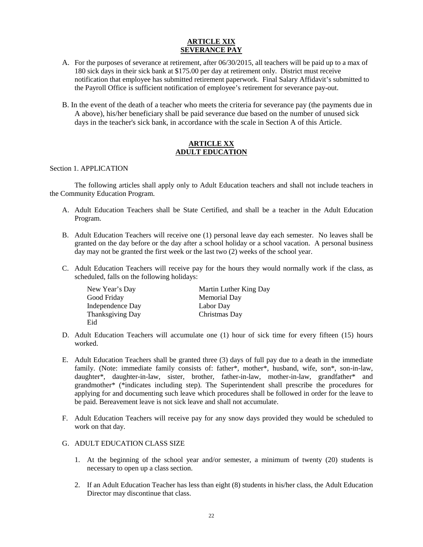#### **ARTICLE XIX SEVERANCE PAY**

- A. For the purposes of severance at retirement, after 06/30/2015, all teachers will be paid up to a max of 180 sick days in their sick bank at \$175.00 per day at retirement only. District must receive notification that employee has submitted retirement paperwork. Final Salary Affidavit's submitted to the Payroll Office is sufficient notification of employee's retirement for severance pay-out.
- B. In the event of the death of a teacher who meets the criteria for severance pay (the payments due in A above), his/her beneficiary shall be paid severance due based on the number of unused sick days in the teacher's sick bank, in accordance with the scale in Section A of this Article.

#### **ARTICLE XX ADULT EDUCATION**

#### Section 1. APPLICATION

The following articles shall apply only to Adult Education teachers and shall not include teachers in the Community Education Program.

- A. Adult Education Teachers shall be State Certified, and shall be a teacher in the Adult Education Program.
- B. Adult Education Teachers will receive one (1) personal leave day each semester. No leaves shall be granted on the day before or the day after a school holiday or a school vacation. A personal business day may not be granted the first week or the last two (2) weeks of the school year.
- C. Adult Education Teachers will receive pay for the hours they would normally work if the class, as scheduled, falls on the following holidays:

| New Year's Day   | Martin Luther King Day |
|------------------|------------------------|
| Good Friday      | Memorial Day           |
| Independence Day | Labor Day              |
| Thanksgiving Day | Christmas Day          |
| Eid              |                        |

- D. Adult Education Teachers will accumulate one (1) hour of sick time for every fifteen (15) hours worked.
- E. Adult Education Teachers shall be granted three (3) days of full pay due to a death in the immediate family. (Note: immediate family consists of: father\*, mother\*, husband, wife, son\*, son-in-law, daughter\*, daughter-in-law, sister, brother, father-in-law, mother-in-law, grandfather\* and grandmother\* (\*indicates including step). The Superintendent shall prescribe the procedures for applying for and documenting such leave which procedures shall be followed in order for the leave to be paid. Bereavement leave is not sick leave and shall not accumulate.
- F. Adult Education Teachers will receive pay for any snow days provided they would be scheduled to work on that day.
- G. ADULT EDUCATION CLASS SIZE
	- 1. At the beginning of the school year and/or semester, a minimum of twenty (20) students is necessary to open up a class section.
	- 2. If an Adult Education Teacher has less than eight (8) students in his/her class, the Adult Education Director may discontinue that class.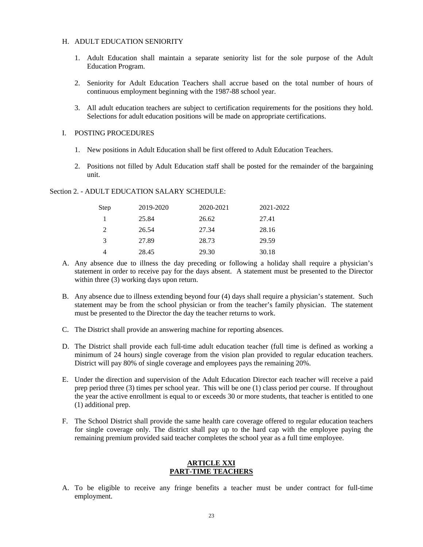#### H. ADULT EDUCATION SENIORITY

- 1. Adult Education shall maintain a separate seniority list for the sole purpose of the Adult Education Program.
- 2. Seniority for Adult Education Teachers shall accrue based on the total number of hours of continuous employment beginning with the 1987-88 school year.
- 3. All adult education teachers are subject to certification requirements for the positions they hold. Selections for adult education positions will be made on appropriate certifications.

#### I. POSTING PROCEDURES

- 1. New positions in Adult Education shall be first offered to Adult Education Teachers.
- 2. Positions not filled by Adult Education staff shall be posted for the remainder of the bargaining unit.

#### Section 2. - ADULT EDUCATION SALARY SCHEDULE:

| Step | 2019-2020 | 2020-2021 | 2021-2022 |
|------|-----------|-----------|-----------|
|      | 25.84     | 26.62     | 27.41     |
| 2    | 26.54     | 27.34     | 28.16     |
| 3    | 27.89     | 28.73     | 29.59     |
|      | 28.45     | 29.30     | 30.18     |

- A. Any absence due to illness the day preceding or following a holiday shall require a physician's statement in order to receive pay for the days absent. A statement must be presented to the Director within three (3) working days upon return.
- B. Any absence due to illness extending beyond four (4) days shall require a physician's statement. Such statement may be from the school physician or from the teacher's family physician. The statement must be presented to the Director the day the teacher returns to work.
- C. The District shall provide an answering machine for reporting absences.
- D. The District shall provide each full-time adult education teacher (full time is defined as working a minimum of 24 hours) single coverage from the vision plan provided to regular education teachers. District will pay 80% of single coverage and employees pays the remaining 20%.
- E. Under the direction and supervision of the Adult Education Director each teacher will receive a paid prep period three (3) times per school year. This will be one (1) class period per course. If throughout the year the active enrollment is equal to or exceeds 30 or more students, that teacher is entitled to one (1) additional prep.
- F. The School District shall provide the same health care coverage offered to regular education teachers for single coverage only. The district shall pay up to the hard cap with the employee paying the remaining premium provided said teacher completes the school year as a full time employee.

#### **ARTICLE XXI PART-TIME TEACHERS**

A. To be eligible to receive any fringe benefits a teacher must be under contract for full-time employment.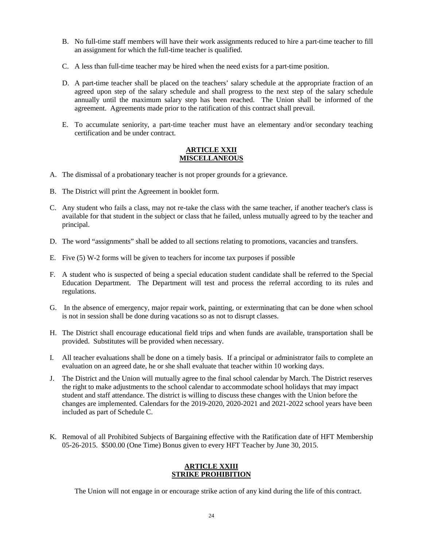- B. No full-time staff members will have their work assignments reduced to hire a part-time teacher to fill an assignment for which the full-time teacher is qualified.
- C. A less than full-time teacher may be hired when the need exists for a part-time position.
- D. A part-time teacher shall be placed on the teachers' salary schedule at the appropriate fraction of an agreed upon step of the salary schedule and shall progress to the next step of the salary schedule annually until the maximum salary step has been reached. The Union shall be informed of the agreement. Agreements made prior to the ratification of this contract shall prevail.
- E. To accumulate seniority, a part-time teacher must have an elementary and/or secondary teaching certification and be under contract.

#### **ARTICLE XXII MISCELLANEOUS**

- A. The dismissal of a probationary teacher is not proper grounds for a grievance.
- B. The District will print the Agreement in booklet form.
- C. Any student who fails a class, may not re-take the class with the same teacher, if another teacher's class is available for that student in the subject or class that he failed, unless mutually agreed to by the teacher and principal.
- D. The word "assignments" shall be added to all sections relating to promotions, vacancies and transfers.
- E. Five (5) W-2 forms will be given to teachers for income tax purposes if possible
- F. A student who is suspected of being a special education student candidate shall be referred to the Special Education Department. The Department will test and process the referral according to its rules and regulations.
- G. In the absence of emergency, major repair work, painting, or exterminating that can be done when school is not in session shall be done during vacations so as not to disrupt classes.
- H. The District shall encourage educational field trips and when funds are available, transportation shall be provided. Substitutes will be provided when necessary.
- I. All teacher evaluations shall be done on a timely basis. If a principal or administrator fails to complete an evaluation on an agreed date, he or she shall evaluate that teacher within 10 working days.
- J. The District and the Union will mutually agree to the final school calendar by March. The District reserves the right to make adjustments to the school calendar to accommodate school holidays that may impact student and staff attendance. The district is willing to discuss these changes with the Union before the changes are implemented. Calendars for the 2019-2020, 2020-2021 and 2021-2022 school years have been included as part of Schedule C.
- K. Removal of all Prohibited Subjects of Bargaining effective with the Ratification date of HFT Membership 05-26-2015. \$500.00 (One Time) Bonus given to every HFT Teacher by June 30, 2015.

#### **ARTICLE XXIII STRIKE PROHIBITION**

The Union will not engage in or encourage strike action of any kind during the life of this contract.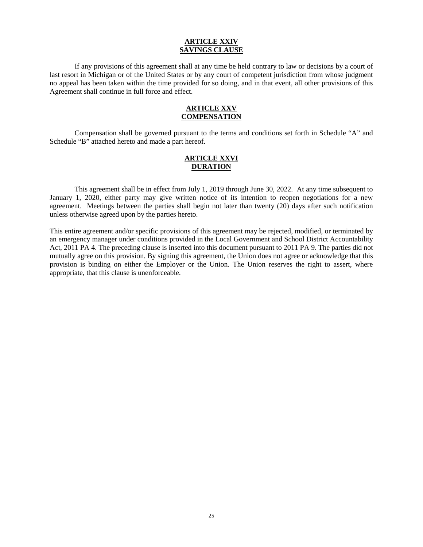#### **ARTICLE XXIV SAVINGS CLAUSE**

If any provisions of this agreement shall at any time be held contrary to law or decisions by a court of last resort in Michigan or of the United States or by any court of competent jurisdiction from whose judgment no appeal has been taken within the time provided for so doing, and in that event, all other provisions of this Agreement shall continue in full force and effect.

#### **ARTICLE XXV COMPENSATION**

Compensation shall be governed pursuant to the terms and conditions set forth in Schedule "A" and Schedule "B" attached hereto and made a part hereof.

#### **ARTICLE XXVI DURATION**

This agreement shall be in effect from July 1, 2019 through June 30, 2022. At any time subsequent to January 1, 2020, either party may give written notice of its intention to reopen negotiations for a new agreement. Meetings between the parties shall begin not later than twenty (20) days after such notification unless otherwise agreed upon by the parties hereto.

This entire agreement and/or specific provisions of this agreement may be rejected, modified, or terminated by an emergency manager under conditions provided in the Local Government and School District Accountability Act, 2011 PA 4. The preceding clause is inserted into this document pursuant to 2011 PA 9. The parties did not mutually agree on this provision. By signing this agreement, the Union does not agree or acknowledge that this provision is binding on either the Employer or the Union. The Union reserves the right to assert, where appropriate, that this clause is unenforceable.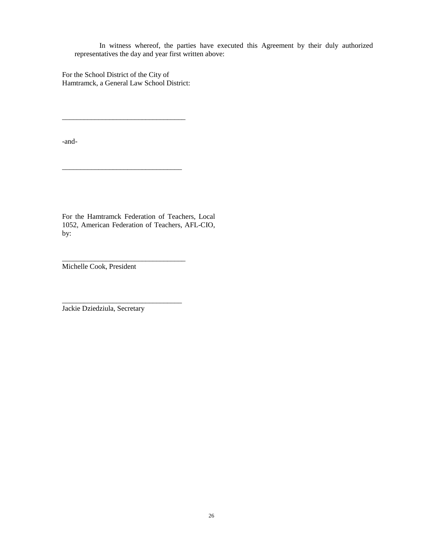In witness whereof, the parties have executed this Agreement by their duly authorized representatives the day and year first written above:

For the School District of the City of Hamtramck, a General Law School District:

\_\_\_\_\_\_\_\_\_\_\_\_\_\_\_\_\_\_\_\_\_\_\_\_\_\_\_\_\_\_\_\_\_\_

\_\_\_\_\_\_\_\_\_\_\_\_\_\_\_\_\_\_\_\_\_\_\_\_\_\_\_\_\_\_\_\_\_

\_\_\_\_\_\_\_\_\_\_\_\_\_\_\_\_\_\_\_\_\_\_\_\_\_\_\_\_\_\_\_\_\_\_

\_\_\_\_\_\_\_\_\_\_\_\_\_\_\_\_\_\_\_\_\_\_\_\_\_\_\_\_\_\_\_\_\_

-and-

For the Hamtramck Federation of Teachers, Local 1052, American Federation of Teachers, AFL-CIO, by:

Michelle Cook, President

Jackie Dziedziula, Secretary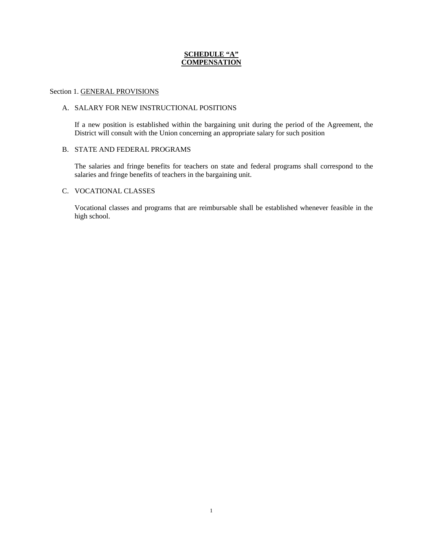#### **SCHEDULE "A" COMPENSATION**

#### Section 1. GENERAL PROVISIONS

#### A. SALARY FOR NEW INSTRUCTIONAL POSITIONS

If a new position is established within the bargaining unit during the period of the Agreement, the District will consult with the Union concerning an appropriate salary for such position

#### B. STATE AND FEDERAL PROGRAMS

The salaries and fringe benefits for teachers on state and federal programs shall correspond to the salaries and fringe benefits of teachers in the bargaining unit.

#### C. VOCATIONAL CLASSES

Vocational classes and programs that are reimbursable shall be established whenever feasible in the high school.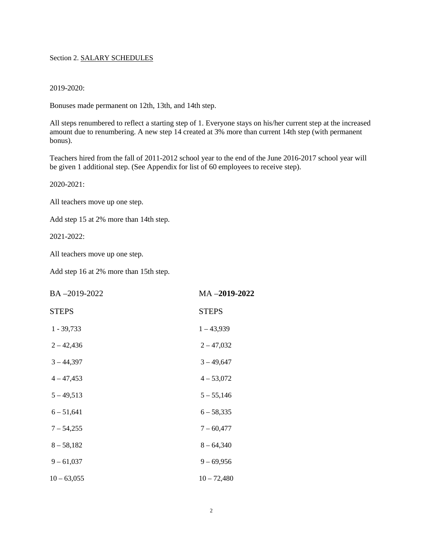#### Section 2. SALARY SCHEDULES

#### 2019-2020:

Bonuses made permanent on 12th, 13th, and 14th step.

All steps renumbered to reflect a starting step of 1. Everyone stays on his/her current step at the increased amount due to renumbering. A new step 14 created at 3% more than current 14th step (with permanent bonus).

Teachers hired from the fall of 2011-2012 school year to the end of the June 2016-2017 school year will be given 1 additional step. (See Appendix for list of 60 employees to receive step).

2020-2021:

All teachers move up one step.

Add step 15 at 2% more than 14th step.

2021-2022:

All teachers move up one step.

Add step 16 at 2% more than 15th step.

| BA-2019-2022  | MA-2019-2022  |
|---------------|---------------|
| <b>STEPS</b>  | <b>STEPS</b>  |
| $1 - 39,733$  | $1 - 43,939$  |
| $2 - 42,436$  | $2 - 47,032$  |
| $3 - 44,397$  | $3 - 49,647$  |
| $4 - 47,453$  | $4 - 53,072$  |
| $5 - 49,513$  | $5 - 55,146$  |
| $6 - 51,641$  | $6 - 58,335$  |
| $7 - 54,255$  | $7 - 60,477$  |
| $8 - 58,182$  | $8 - 64,340$  |
| $9 - 61,037$  | $9 - 69,956$  |
| $10 - 63,055$ | $10 - 72,480$ |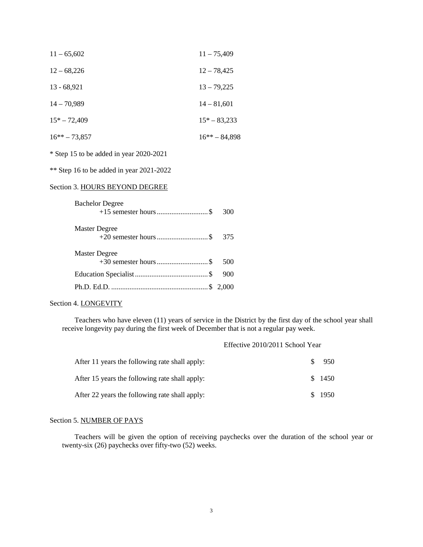| $11 - 65,602$   | $11 - 75,409$    |
|-----------------|------------------|
| $12 - 68,226$   | $12 - 78,425$    |
| $13 - 68,921$   | $13 - 79,225$    |
| $14 - 70,989$   | $14 - 81,601$    |
| $15*-72,409$    | $15*-83,233$     |
| $16** - 73,857$ | $16*** - 84.898$ |
|                 |                  |

\* Step 15 to be added in year 2020-2021

\*\* Step 16 to be added in year 2021-2022

### Section 3. HOURS BEYOND DEGREE

| <b>Bachelor Degree</b> | 300 |
|------------------------|-----|
| Master Degree          |     |
| Master Degree          | 500 |
|                        | 900 |
|                        |     |

#### Section 4. LONGEVITY

Teachers who have eleven (11) years of service in the District by the first day of the school year shall receive longevity pay during the first week of December that is not a regular pay week.

#### Effective 2010/2011 School Year

| After 11 years the following rate shall apply: | -SS | 950    |
|------------------------------------------------|-----|--------|
| After 15 years the following rate shall apply: |     | \$1450 |
| After 22 years the following rate shall apply: |     | \$1950 |

#### Section 5. NUMBER OF PAYS

Teachers will be given the option of receiving paychecks over the duration of the school year or twenty-six (26) paychecks over fifty-two (52) weeks.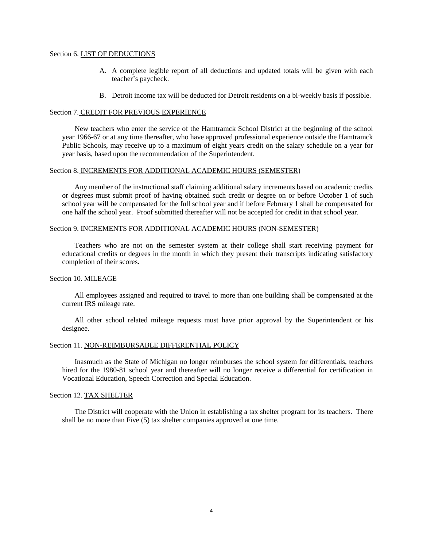#### Section 6. LIST OF DEDUCTIONS

- A. A complete legible report of all deductions and updated totals will be given with each teacher's paycheck.
- B. Detroit income tax will be deducted for Detroit residents on a bi-weekly basis if possible.

#### Section 7. CREDIT FOR PREVIOUS EXPERIENCE

New teachers who enter the service of the Hamtramck School District at the beginning of the school year 1966-67 or at any time thereafter, who have approved professional experience outside the Hamtramck Public Schools, may receive up to a maximum of eight years credit on the salary schedule on a year for year basis, based upon the recommendation of the Superintendent.

#### Section 8. INCREMENTS FOR ADDITIONAL ACADEMIC HOURS (SEMESTER)

Any member of the instructional staff claiming additional salary increments based on academic credits or degrees must submit proof of having obtained such credit or degree on or before October 1 of such school year will be compensated for the full school year and if before February 1 shall be compensated for one half the school year. Proof submitted thereafter will not be accepted for credit in that school year.

#### Section 9. INCREMENTS FOR ADDITIONAL ACADEMIC HOURS (NON-SEMESTER)

Teachers who are not on the semester system at their college shall start receiving payment for educational credits or degrees in the month in which they present their transcripts indicating satisfactory completion of their scores.

#### Section 10. MILEAGE

All employees assigned and required to travel to more than one building shall be compensated at the current IRS mileage rate.

All other school related mileage requests must have prior approval by the Superintendent or his designee.

#### Section 11. NON-REIMBURSABLE DIFFERENTIAL POLICY

Inasmuch as the State of Michigan no longer reimburses the school system for differentials, teachers hired for the 1980-81 school year and thereafter will no longer receive a differential for certification in Vocational Education, Speech Correction and Special Education.

#### Section 12. TAX SHELTER

The District will cooperate with the Union in establishing a tax shelter program for its teachers. There shall be no more than Five (5) tax shelter companies approved at one time.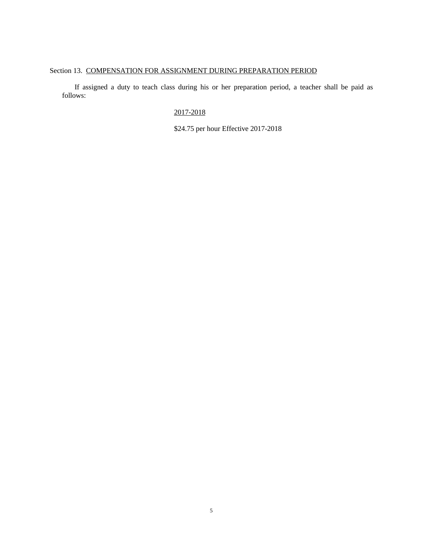## Section 13. COMPENSATION FOR ASSIGNMENT DURING PREPARATION PERIOD

If assigned a duty to teach class during his or her preparation period, a teacher shall be paid as follows:

### 2017-2018

\$24.75 per hour Effective 2017-2018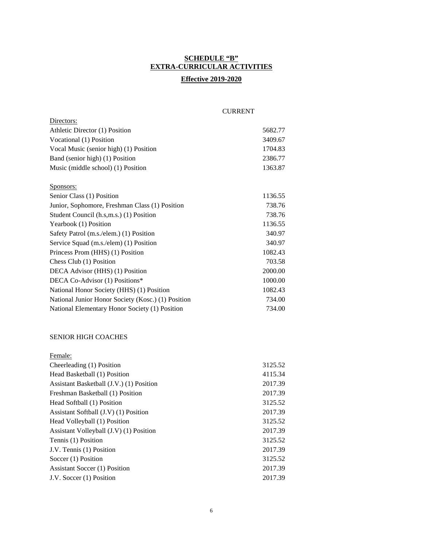## **SCHEDULE "B" EXTRA-CURRICULAR ACTIVITIES**

## **Effective 2019-2020**

#### CURRENT

| Athletic Director (1) Position                     | 5682.77 |
|----------------------------------------------------|---------|
| Vocational (1) Position                            | 3409.67 |
| Vocal Music (senior high) (1) Position             | 1704.83 |
| Band (senior high) (1) Position                    | 2386.77 |
| Music (middle school) (1) Position                 | 1363.87 |
|                                                    |         |
| Sponsors:                                          |         |
| Senior Class (1) Position                          | 1136.55 |
| Junior, Sophomore, Freshman Class (1) Position     | 738.76  |
| Student Council (h.s,m.s.) (1) Position            | 738.76  |
| Yearbook (1) Position                              | 1136.55 |
| Safety Patrol (m.s./elem.) (1) Position            | 340.97  |
| Service Squad (m.s./elem) (1) Position             | 340.97  |
| Princess Prom (HHS) (1) Position                   | 1082.43 |
| Chess Club (1) Position                            | 703.58  |
| DECA Advisor (HHS) (1) Position                    | 2000.00 |
| DECA Co-Advisor (1) Positions*                     | 1000.00 |
| National Honor Society (HHS) (1) Position          | 1082.43 |
| National Junior Honor Society (Kosc.) (1) Position | 734.00  |
| National Elementary Honor Society (1) Position     | 734.00  |
|                                                    |         |
|                                                    |         |
| <b>SENIOR HIGH COACHES</b>                         |         |
| Female:                                            |         |
| Cheerleading (1) Position                          | 3125.52 |
| Head Basketball (1) Position                       | 4115.34 |
| Assistant Basketball (J.V.) (1) Position           | 2017.39 |
| Freshman Basketball (1) Position                   | 2017.39 |
| Head Softball (1) Position                         | 3125.52 |
| Assistant Softball (J.V) (1) Position              | 2017.39 |
| Head Volleyball (1) Position                       | 3125.52 |
| Assistant Volleyball (J.V) (1) Position            | 2017.39 |
| Tennis (1) Position                                | 3125.52 |
| J.V. Tennis (1) Position                           | 2017.39 |
| Soccer (1) Position                                | 3125.52 |
| <b>Assistant Soccer (1) Position</b>               | 2017.39 |
| J.V. Soccer (1) Position                           | 2017.39 |

Directors: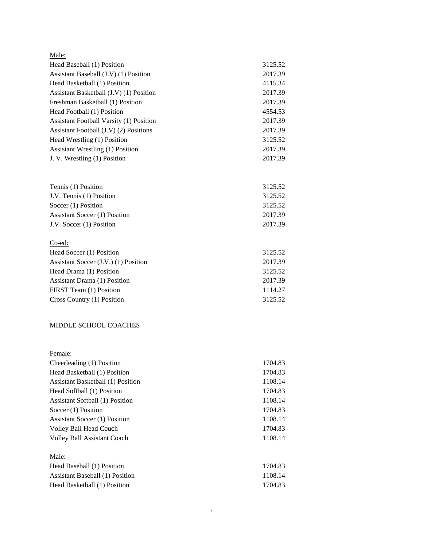| Male:                                   |         |
|-----------------------------------------|---------|
| Head Baseball (1) Position              | 3125.52 |
| Assistant Baseball (J.V) (1) Position   | 2017.39 |
| Head Basketball (1) Position            | 4115.34 |
| Assistant Basketball (J.V) (1) Position | 2017.39 |
| Freshman Basketball (1) Position        | 2017.39 |
| Head Football (1) Position              | 4554.53 |
| Assistant Football Varsity (1) Position | 2017.39 |
| Assistant Football (J.V) (2) Positions  | 2017.39 |
| Head Wrestling (1) Position             | 3125.52 |
| <b>Assistant Wrestling (1) Position</b> | 2017.39 |
| J. V. Wrestling (1) Position            | 2017.39 |
| Tennis (1) Position                     | 3125.52 |
| J.V. Tennis (1) Position                | 3125.52 |
| Soccer (1) Position                     | 3125.52 |
| <b>Assistant Soccer (1) Position</b>    | 2017.39 |
| J.V. Soccer (1) Position                | 2017.39 |
| $Co$ -ed:                               |         |
| Head Soccer (1) Position                | 3125.52 |
| Assistant Soccer (J.V.) (1) Position    | 2017.39 |
| Head Drama (1) Position                 | 3125.52 |
| <b>Assistant Drama (1) Position</b>     | 2017.39 |
| FIRST Team (1) Position                 | 1114.27 |
| Cross Country (1) Position              | 3125.52 |
| <b>MIDDLE SCHOOL COACHES</b>            |         |
| Female:                                 |         |
| Cheerleading (1) Position               | 1704.83 |
| Head Basketball (1) Position            | 1704.83 |
| Assistant Basketball (1) Position       | 1108.14 |
| Head Softball (1) Position              | 1704.83 |
| <b>Assistant Softball (1) Position</b>  | 1108.14 |
| Soccer (1) Position                     | 1704.83 |
| <b>Assistant Soccer (1) Position</b>    | 1108.14 |
| Volley Ball Head Couch                  | 1704.83 |
| <b>Volley Ball Assistant Coach</b>      | 1108.14 |

| Male:                           |         |
|---------------------------------|---------|
| Head Baseball (1) Position      | 1704.83 |
| Assistant Baseball (1) Position | 1108.14 |
| Head Basketball (1) Position    | 1704.83 |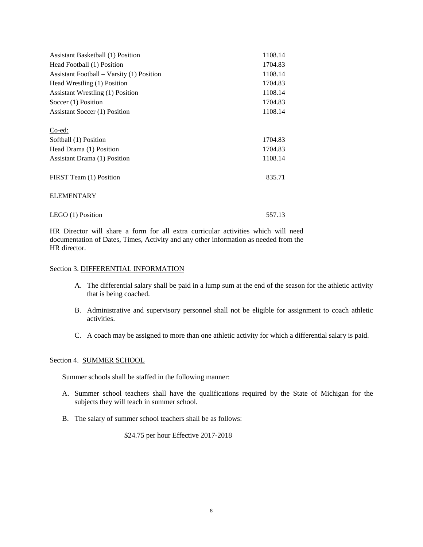| <b>Assistant Basketball (1) Position</b>  | 1108.14 |
|-------------------------------------------|---------|
| Head Football (1) Position                | 1704.83 |
| Assistant Football – Varsity (1) Position | 1108.14 |
| Head Wrestling (1) Position               | 1704.83 |
| Assistant Wrestling (1) Position          | 1108.14 |
| Soccer (1) Position                       | 1704.83 |
| Assistant Soccer (1) Position             | 1108.14 |
|                                           |         |
| Co-ed:                                    |         |
| Softball (1) Position                     | 1704.83 |
| Head Drama (1) Position                   | 1704.83 |
| Assistant Drama (1) Position              | 1108.14 |
|                                           |         |
| FIRST Team (1) Position                   | 835.71  |
|                                           |         |
| <b>ELEMENTARY</b>                         |         |
|                                           |         |
| LEGO $(1)$ Position                       | 557.13  |

HR Director will share a form for all extra curricular activities which will need documentation of Dates, Times, Activity and any other information as needed from the HR director.

#### Section 3. DIFFERENTIAL INFORMATION

- A. The differential salary shall be paid in a lump sum at the end of the season for the athletic activity that is being coached.
- B. Administrative and supervisory personnel shall not be eligible for assignment to coach athletic activities.
- C. A coach may be assigned to more than one athletic activity for which a differential salary is paid.

#### Section 4. SUMMER SCHOOL

Summer schools shall be staffed in the following manner:

- A. Summer school teachers shall have the qualifications required by the State of Michigan for the subjects they will teach in summer school.
- B. The salary of summer school teachers shall be as follows:

\$24.75 per hour Effective 2017-2018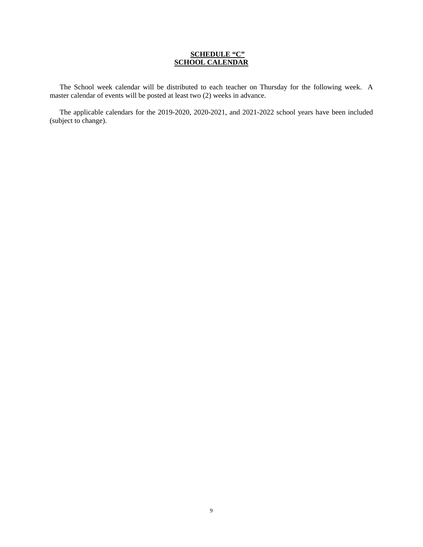#### **SCHEDULE "C" SCHOOL CALENDAR**

The School week calendar will be distributed to each teacher on Thursday for the following week. A master calendar of events will be posted at least two (2) weeks in advance.

The applicable calendars for the 2019-2020, 2020-2021, and 2021-2022 school years have been included (subject to change).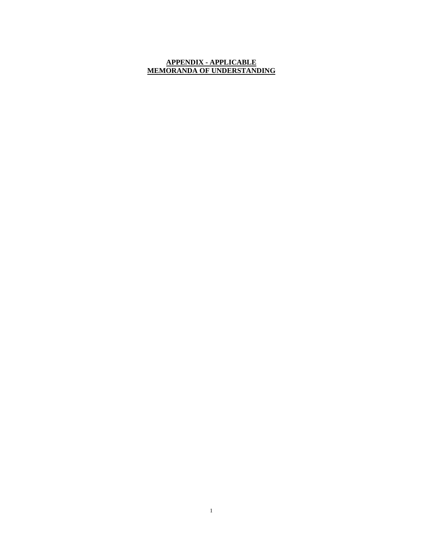#### **APPENDIX - APPLICABLE MEMORANDA OF UNDERSTANDING**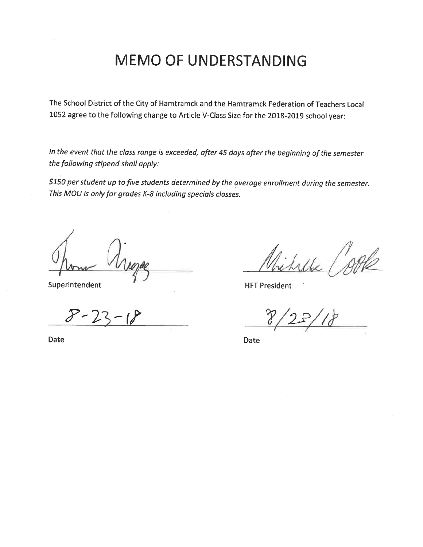# **MEMO OF UNDERSTANDING**

The School District of the City of Hamtramck and the Hamtramck Federation of Teachers Local 1052 agree to the following change to Article V-Class Size for the 2018-2019 school year:

In the event that the class range is exceeded, after 45 days after the beginning of the semester the following stipend shall apply:

\$150 per student up to five students determined by the average enrollment during the semester. This MOU is only for grades K-8 including specials classes.

Superintendent

**Date** 

**HFT President** 

**Date**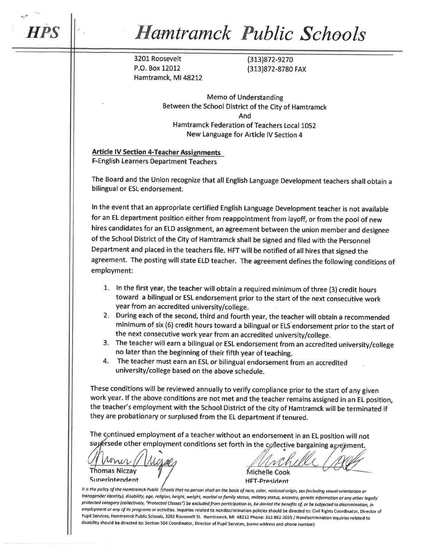# **Hamtramck Public Schools**

3201 Roosevelt P.O. Box 12012 Hamtramck, MI 48212 (313)872-9270 (313)872-8780 FAX

**Memo of Understanding** Between the School District of the City of Hamtramck And Hamtramck Federation of Teachers Local 1052 New Language for Article IV Section 4

**Article IV Section 4-Teacher Assignments F-English Learners Department Teachers** 

The Board and the Union recognize that all English Language Development teachers shall obtain a bilingual or ESL endorsement.

In the event that an appropriate certified English Language Development teacher is not available for an EL department position either from reappointment from layoff, or from the pool of new hires candidates for an ELD assignment, an agreement between the union member and designee of the School District of the City of Hamtramck shall be signed and filed with the Personnel Department and placed in the teachers file. HFT will be notified of all hires that signed the agreement. The posting will state ELD teacher. The agreement defines the following conditions of employment:

- 1. In the first year, the teacher will obtain a required minimum of three (3) credit hours toward a bilingual or ESL endorsement prior to the start of the next consecutive work year from an accredited university/college.
- 2. During each of the second, third and fourth year, the teacher will obtain a recommended minimum of six (6) credit hours toward a bilingual or ELS endorsement prior to the start of the next consecutive work year from an accredited university/college.
- 3. The teacher will earn a bilingual or ESL endorsement from an accredited university/college no later than the beginning of their fifth year of teaching.
- The teacher must earn an ESL or bilingual endorsement from an accredited 4. university/college based on the above schedule.

These conditions will be reviewed annually to verify compliance prior to the start of any given work year. If the above conditions are not met and the teacher remains assigned in an EL position, the teacher's employment with the School District of the city of Hamtramck will be terminated if they are probationary or surplused from the EL department if tenured.

The continued employment of a teacher without an endorsement in an EL position will not supersede other employment conditions set forth in the collective bargaining agreement.

mir **Thomas Niczay** 

Sunerintendent

Michelle Cook

**HFT-President** 

It is the policy of the Hamtramck Public schools that no person shall on the basis of race, color, national origin, sex (including sexual orientation or transgender identity), disability, age, religion, height, weight, marital or family status, military status, ancestry, genetic information or any other legally protected category (collectively, "Protected Classes") be excluded from participation in, be denied the benefits of, or be subjected to discrimination, in employment or any of its programs or activities. Inquiries related to nondiscrimination policies should be directed to: Civil Rights Coordinator, Director of Pupil Services, Hamtramck Public Schools, 3201 Roosevelt St. Hamtramck, MI 48212 Phone: 313 892-2035 / Nondiscrimination inquiries related to disability should be directed to: Section 504 Coordinator, Director of Pupil Services, (same address and phone number)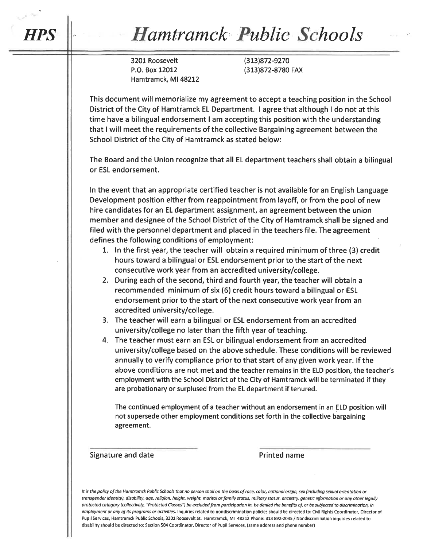# **Hamtramck Public Schools**

3201 Roosevelt P.O. Box 12012 Hamtramck, MI 48212

**HPS** 

(313) 872-9270 (313)872-8780 FAX

This document will memorialize my agreement to accept a teaching position in the School District of the City of Hamtramck EL Department. I agree that although I do not at this time have a bilingual endorsement I am accepting this position with the understanding that I will meet the requirements of the collective Bargaining agreement between the School District of the City of Hamtramck as stated below:

The Board and the Union recognize that all EL department teachers shall obtain a bilingual or ESL endorsement.

In the event that an appropriate certified teacher is not available for an English Language Development position either from reappointment from layoff, or from the pool of new hire candidates for an EL department assignment, an agreement between the union member and designee of the School District of the City of Hamtramck shall be signed and filed with the personnel department and placed in the teachers file. The agreement defines the following conditions of employment:

- 1. In the first year, the teacher will obtain a required minimum of three (3) credit hours toward a bilingual or ESL endorsement prior to the start of the next consecutive work year from an accredited university/college.
- 2. During each of the second, third and fourth year, the teacher will obtain a recommended minimum of six (6) credit hours toward a bilingual or ESL endorsement prior to the start of the next consecutive work year from an accredited university/college.
- 3. The teacher will earn a bilingual or ESL endorsement from an accredited university/college no later than the fifth year of teaching.
- 4. The teacher must earn an ESL or bilingual endorsement from an accredited university/college based on the above schedule. These conditions will be reviewed annually to verify compliance prior to that start of any given work year. If the above conditions are not met and the teacher remains in the ELD position, the teacher's employment with the School District of the City of Hamtramck will be terminated if they are probationary or surplused from the EL department if tenured.

The continued employment of a teacher without an endorsement in an ELD position will not supersede other employment conditions set forth in the collective bargaining agreement.

Signature and date

**Printed name** 

It is the policy of the Hamtramck Public Schools that no person shall on the basis of race, color, national origin, sex (including sexual orientation or transgender identity), disability, age, religion, height, weight, marital or family status, military status, ancestry, genetic information or any other legally protected category (collectively, "Protected Classes") be excluded from participation in, be denied the benefits of, or be subjected to discrimination, in employment or any of its programs or activities. Inquiries related to nondiscrimination policies should be directed to: Civil Rights Coordinator, Director of Pupil Services, Hamtramck Public Schools, 3201 Roosevelt St. Hamtramck, MI 48212 Phone: 313 892-2035 / Nondiscrimination inquiries related to disability should be directed to: Section 504 Coordinator, Director of Pupil Services, (same address and phone number)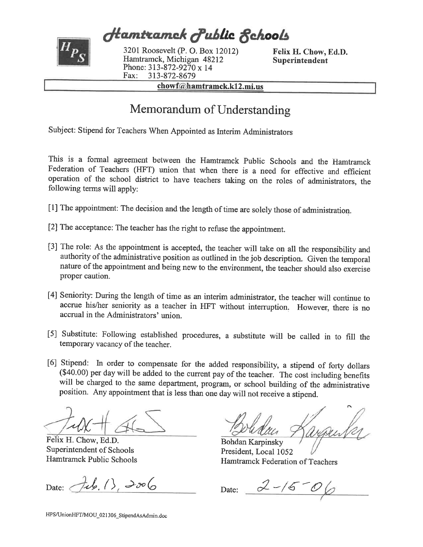**Hamtramck Public Rchools** 

3201 Roosevelt (P. O. Box 12012) Hamtramck, Michigan 48212 Phone: 313-872-9270 x 14 Fax: 313-872-8679

Felix H. Chow, Ed.D. Superintendent

chowf@hamtramck.k12.mi.us

# Memorandum of Understanding

Subject: Stipend for Teachers When Appointed as Interim Administrators

This is a formal agreement between the Hamtramck Public Schools and the Hamtramck Federation of Teachers (HFT) union that when there is a need for effective and efficient operation of the school district to have teachers taking on the roles of administrators, the following terms will apply:

- [1] The appointment: The decision and the length of time are solely those of administration.
- [2] The acceptance: The teacher has the right to refuse the appointment.
- [3] The role: As the appointment is accepted, the teacher will take on all the responsibility and authority of the administrative position as outlined in the job description. Given the temporal nature of the appointment and being new to the environment, the teacher should also exercise proper caution.
- [4] Seniority: During the length of time as an interim administrator, the teacher will continue to accrue his/her seniority as a teacher in HFT without interruption. However, there is no accrual in the Administrators' union.
- [5] Substitute: Following established procedures, a substitute will be called in to fill the temporary vacancy of the teacher.
- [6] Stipend: In order to compensate for the added responsibility, a stipend of forty dollars (\$40.00) per day will be added to the current pay of the teacher. The cost including benefits will be charged to the same department, program, or school building of the administrative position. Any appointment that is less than one day will not receive a stipend.

Felix H. Chow, Ed.D. Superintendent of Schools Hamtramck Public Schools

Date:  $\{1, 1\}$ , 2006

**Bohdan Karpinsky** President, Local 1052 Hamtramck Federation of Teachers

Date:  $2-15-06$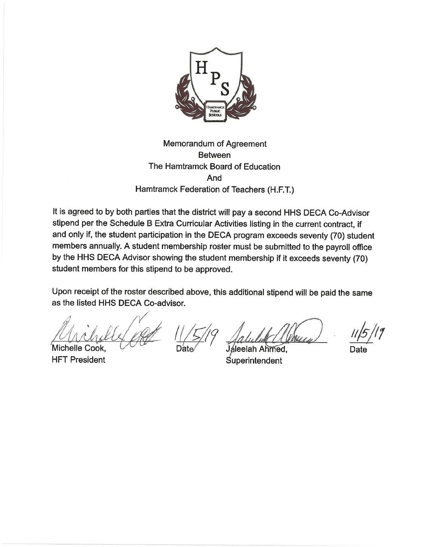

# Memorandum of Agreement **Between** The Hamtramck Board of Education And Hamtramck Federation of Teachers (H.F.T.)

It is agreed to by both parties that the district will pay a second HHS DECA Co-Advisor stipend per the Schedule B Extra Curricular Activities listing in the current contract, if and only if, the student participation in the DECA program exceeds seventy (70) student members annually. A student membership roster must be submitted to the payroll office by the HHS DECA Advisor showing the student membership if it exceeds seventy (70) student members for this stipend to be approved.

Upon receipt of the roster described above, this additional stipend will be paid the same as the listed HHS DECA Co-advisor.

Michelle Cook. **HFT President** 

Jaleelah Ahmed, Superintendent

Date